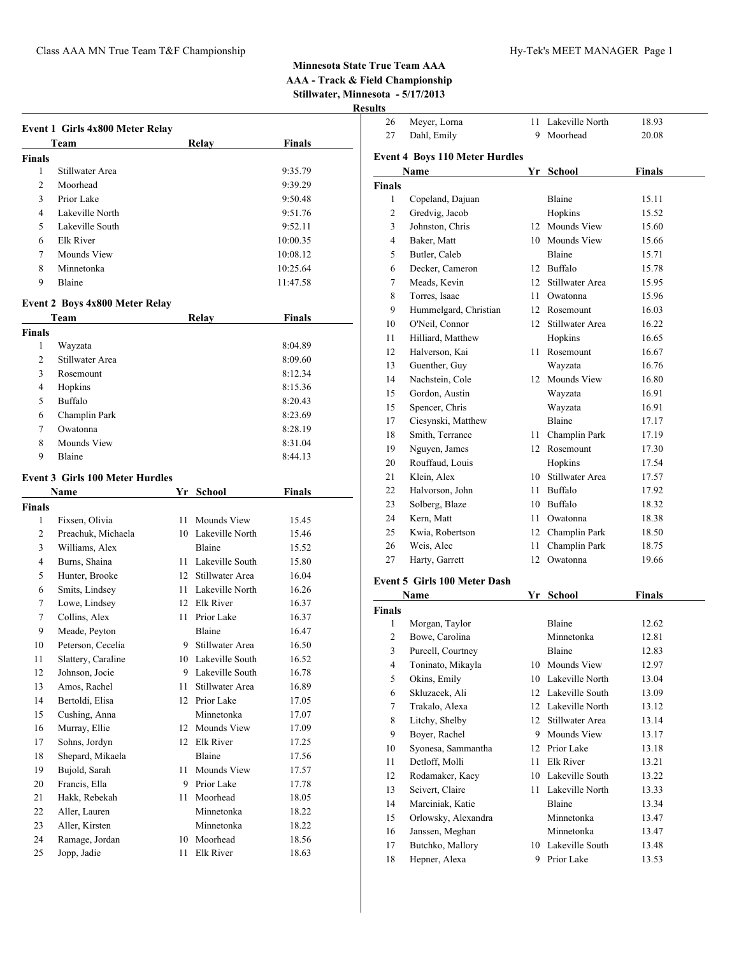|                | Event 1 Girls 4x800 Meter Relay        |      |                    |          |  |
|----------------|----------------------------------------|------|--------------------|----------|--|
|                | Team                                   |      | Relay              | Finals   |  |
| <b>Finals</b>  |                                        |      |                    |          |  |
| 1              | Stillwater Area                        |      |                    | 9:35.79  |  |
| $\overline{2}$ | Moorhead                               |      |                    | 9:39.29  |  |
| 3              | Prior Lake                             |      |                    | 9:50.48  |  |
| 4              | Lakeville North                        |      |                    | 9:51.76  |  |
| 5              | Lakeville South                        |      |                    | 9:52.11  |  |
| 6              | <b>Elk River</b>                       |      |                    | 10:00.35 |  |
| 7              | Mounds View                            |      |                    | 10:08.12 |  |
| 8              | Minnetonka                             |      |                    | 10:25.64 |  |
| 9              | Blaine                                 |      |                    | 11:47.58 |  |
|                |                                        |      |                    |          |  |
|                | <b>Event 2 Boys 4x800 Meter Relay</b>  |      |                    |          |  |
|                | Team                                   |      | Relay              | Finals   |  |
| <b>Finals</b>  |                                        |      |                    |          |  |
| 1              | Wayzata                                |      |                    | 8:04.89  |  |
| 2              | Stillwater Area                        |      |                    | 8:09.60  |  |
| 3              | Rosemount                              |      |                    | 8:12.34  |  |
| 4              | Hopkins                                |      |                    | 8:15.36  |  |
| 5              | <b>Buffalo</b>                         |      |                    | 8:20.43  |  |
| 6              | Champlin Park                          |      |                    | 8:23.69  |  |
| 7              | Owatonna                               |      |                    | 8:28.19  |  |
| 8              | Mounds View                            |      |                    | 8:31.04  |  |
| 9              | Blaine                                 |      |                    | 8:44.13  |  |
|                | <b>Event 3 Girls 100 Meter Hurdles</b> |      |                    |          |  |
|                | Name                                   |      | Yr School          | Finals   |  |
| <b>Finals</b>  |                                        |      |                    |          |  |
| 1              | Fixsen, Olivia                         | 11   | Mounds View        | 15.45    |  |
| 2              | Preachuk, Michaela                     |      | 10 Lakeville North | 15.46    |  |
| 3              | Williams, Alex                         |      | Blaine             | 15.52    |  |
| 4              | Burns, Shaina                          |      | 11 Lakeville South | 15.80    |  |
| 5              | Hunter, Brooke                         |      | 12 Stillwater Area | 16.04    |  |
| 6              | Smits, Lindsey                         |      | 11 Lakeville North | 16.26    |  |
| 7              | Lowe, Lindsey                          |      | 12 Elk River       | 16.37    |  |
| 7              | Collins, Alex                          | 11 - | Prior Lake         | 16.37    |  |
| 9              | Meade, Peyton                          |      | Blaine             | 16.47    |  |
| 10             | Peterson, Cecelia                      | 9.   | Stillwater Area    | 16.50    |  |
| 11             | Slattery, Caraline                     |      | 10 Lakeville South | 16.52    |  |
| 12             | Johnson, Jocie                         |      | 9 Lakeville South  | 16.78    |  |
| 13             | Amos, Rachel                           | 11   | Stillwater Area    | 16.89    |  |
| 14             | Bertoldi, Elisa                        |      | 12 Prior Lake      | 17.05    |  |
| 15             | Cushing, Anna                          |      | Minnetonka         | 17.07    |  |
| 16             | Murray, Ellie                          | 12   | Mounds View        | 17.09    |  |
| 17             | Sohns, Jordyn                          |      | 12 Elk River       | 17.25    |  |
| 18             | Shepard, Mikaela                       |      | Blaine             | 17.56    |  |
| 19             | Bujold, Sarah                          | 11   | Mounds View        | 17.57    |  |
| 20             | Francis, Ella                          |      | 9 Prior Lake       | 17.78    |  |
| 21             | Hakk, Rebekah                          | 11   | Moorhead           | 18.05    |  |
| 22             | Aller, Lauren                          |      | Minnetonka         | 18.22    |  |
| 23             | Aller, Kirsten                         |      | Minnetonka         | 18.22    |  |
| 24             | Ramage, Jordan                         |      | 10 Moorhead        | 18.56    |  |
| 25             | Jopp, Jadie                            | 11   | Elk River          | 18.63    |  |

| սււծ          |                                       |    |                    |        |  |
|---------------|---------------------------------------|----|--------------------|--------|--|
| 26            | Meyer, Lorna                          | 11 | Lakeville North    | 18.93  |  |
| 27            | Dahl, Emily                           | 9  | Moorhead           | 20.08  |  |
|               |                                       |    |                    |        |  |
|               | <b>Event 4 Boys 110 Meter Hurdles</b> |    |                    |        |  |
|               | Name                                  |    | Yr School          | Finals |  |
| <b>Finals</b> |                                       |    |                    |        |  |
| 1             | Copeland, Dajuan                      |    | Blaine             | 15.11  |  |
| 2             | Gredvig, Jacob                        |    | Hopkins            | 15.52  |  |
| 3             | Johnston, Chris                       |    | 12 Mounds View     | 15.60  |  |
| 4             | Baker, Matt                           |    | 10 Mounds View     | 15.66  |  |
| 5             | Butler, Caleb                         |    | Blaine             | 15.71  |  |
| 6             | Decker, Cameron                       |    | 12 Buffalo         | 15.78  |  |
| 7             | Meads, Kevin                          |    | 12 Stillwater Area | 15.95  |  |
| 8             | Torres, Isaac                         |    | 11 Owatonna        | 15.96  |  |
| 9             | Hummelgard, Christian                 |    | 12 Rosemount       | 16.03  |  |
| 10            | O'Neil, Connor                        |    | 12 Stillwater Area | 16.22  |  |
| 11            | Hilliard, Matthew                     |    | Hopkins            | 16.65  |  |
| 12            | Halverson, Kai                        |    | 11 Rosemount       | 16.67  |  |
| 13            | Guenther, Guy                         |    | Wayzata            | 16.76  |  |
| 14            | Nachstein, Cole                       |    | 12 Mounds View     | 16.80  |  |
| 15            | Gordon, Austin                        |    | Wayzata            | 16.91  |  |
| 15            | Spencer, Chris                        |    | Wayzata            | 16.91  |  |
| 17            | Ciesynski, Matthew                    |    | Blaine             | 17.17  |  |
| 18            | Smith, Terrance                       |    | 11 Champlin Park   | 17.19  |  |
| 19            | Nguyen, James                         |    | 12 Rosemount       | 17.30  |  |
| 20            | Rouffaud, Louis                       |    | Hopkins            | 17.54  |  |
| 21            | Klein, Alex                           |    | 10 Stillwater Area | 17.57  |  |
| 22            | Halvorson, John                       |    | 11 Buffalo         | 17.92  |  |
| 23            | Solberg, Blaze                        |    | 10 Buffalo         | 18.32  |  |
| 24            | Kern, Matt                            |    | 11 Owatonna        | 18.38  |  |
| 25            | Kwia, Robertson                       |    | 12 Champlin Park   | 18.50  |  |
| 26            | Weis, Alec                            | 11 | Champlin Park      | 18.75  |  |
| 27            | Harty, Garrett                        | 12 | Owatonna           | 19.66  |  |
|               | <b>Event 5 Girls 100 Meter Dash</b>   |    |                    |        |  |
|               | Name                                  |    | Yr School          | Finals |  |
| <b>Finals</b> |                                       |    |                    |        |  |
| 1             | Morgan, Taylor                        |    | <b>Blaine</b>      | 12.62  |  |
| 2             | Bowe, Carolina                        |    | Minnetonka         | 12.81  |  |
| 3             | Purcell, Courtney                     |    | Blaine             | 12.83  |  |
| $\Lambda$     | Toninato Mikayla                      |    | $10$ Mounde View   | 1207   |  |

| 3  | Purcell, Courtney   |    | Blaine             | 12.83 |
|----|---------------------|----|--------------------|-------|
| 4  | Toninato, Mikayla   | 10 | Mounds View        | 12.97 |
| 5  | Okins, Emily        | 10 | Lakeville North    | 13.04 |
| 6  | Skluzacek, Ali      |    | 12 Lakeville South | 13.09 |
| 7  | Trakalo, Alexa      |    | 12 Lakeville North | 13.12 |
| 8  | Litchy, Shelby      | 12 | Stillwater Area    | 13.14 |
| 9  | Boyer, Rachel       | 9  | Mounds View        | 13.17 |
| 10 | Syonesa, Sammantha  | 12 | Prior Lake         | 13.18 |
| 11 | Detloff, Molli      | 11 | Elk River          | 13.21 |
| 12 | Rodamaker, Kacy     |    | 10 Lakeville South | 13.22 |
| 13 | Seivert, Claire     | 11 | Lakeville North    | 13.33 |
| 14 | Marciniak, Katie    |    | Blaine             | 13.34 |
| 15 | Orlowsky, Alexandra |    | Minnetonka         | 13.47 |
| 16 | Janssen, Meghan     |    | Minnetonka         | 13.47 |
| 17 | Butchko, Mallory    | 10 | Lakeville South    | 13.48 |
| 18 | Hepner, Alexa       | 9  | Prior Lake         | 13.53 |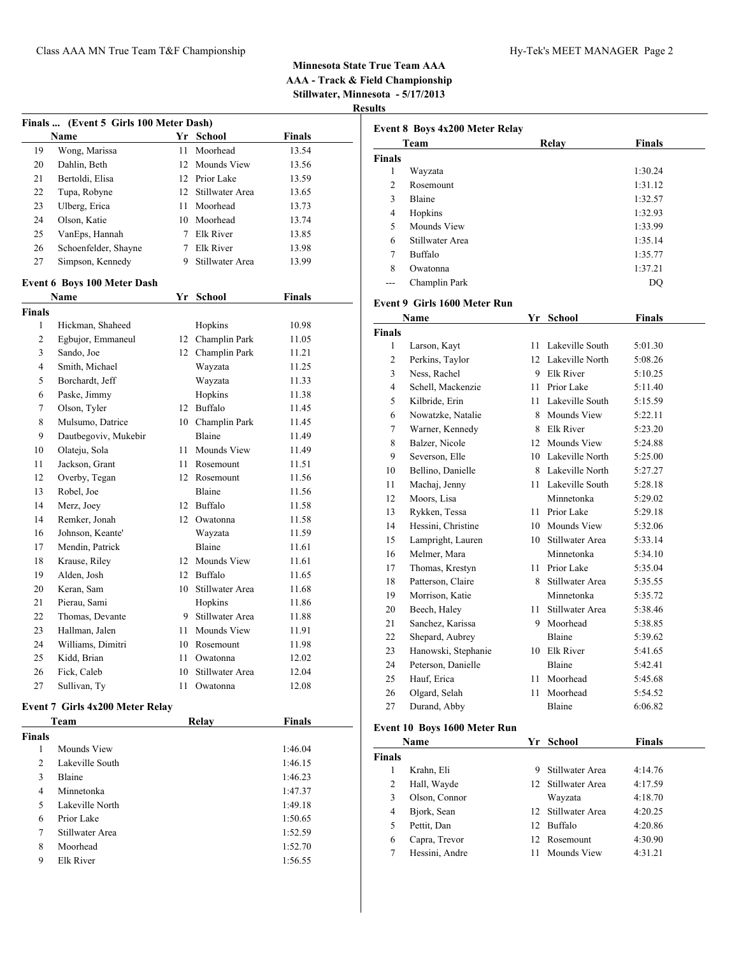| Finals  (Event 5 Girls 100 Meter Dash) |                                    |    |                    |               |  |
|----------------------------------------|------------------------------------|----|--------------------|---------------|--|
|                                        | Name                               |    | Yr School          | Finals        |  |
| 19                                     | Wong, Marissa                      | 11 | Moorhead           | 13.54         |  |
| 20                                     | Dahlin, Beth                       |    | 12 Mounds View     | 13.56         |  |
| 21                                     | Bertoldi, Elisa                    |    | 12 Prior Lake      | 13.59         |  |
| 22                                     | Tupa, Robyne                       |    | 12 Stillwater Area | 13.65         |  |
| 23                                     | Ulberg, Erica                      |    | 11 Moorhead        | 13.73         |  |
| 24                                     | Olson, Katie                       |    | 10 Moorhead        | 13.74         |  |
| 25                                     | VanEps, Hannah                     |    | 7 Elk River        | 13.85         |  |
| 26                                     | Schoenfelder, Shayne               |    | 7 Elk River        | 13.98         |  |
| 27                                     | Simpson, Kennedy                   |    | 9 Stillwater Area  | 13.99         |  |
|                                        | <b>Event 6 Boys 100 Meter Dash</b> |    |                    |               |  |
|                                        | Name                               |    | Yr School          | <b>Finals</b> |  |
| Finals                                 |                                    |    |                    |               |  |
| 1                                      | Hickman, Shaheed                   |    | Hopkins            | 10.98         |  |
| $\overline{c}$                         | Egbujor, Emmaneul                  |    | 12 Champlin Park   | 11.05         |  |
| 3                                      | Sando, Joe                         |    | 12 Champlin Park   | 11.21         |  |
| 4                                      | Smith, Michael                     |    | Wayzata            | 11.25         |  |
| 5                                      | Borchardt, Jeff                    |    | Wayzata            | 11.33         |  |
| 6                                      | Paske, Jimmy                       |    | Hopkins            | 11.38         |  |
| 7                                      | Olson, Tyler                       |    | 12 Buffalo         | 11.45         |  |
| 8                                      | Mulsumo, Datrice                   |    | 10 Champlin Park   | 11.45         |  |
| 9                                      | Dautbegoviv, Mukebir               |    | Blaine             | 11.49         |  |
| 10                                     | Olateju, Sola                      |    | 11 Mounds View     | 11.49         |  |
| 11                                     | Jackson, Grant                     |    | 11 Rosemount       | 11.51         |  |
| 12                                     | Overby, Tegan                      |    | 12 Rosemount       | 11.56         |  |
| 13                                     | Robel, Joe                         |    | Blaine             | 11.56         |  |
| 14                                     | Merz, Joey                         |    | 12 Buffalo         | 11.58         |  |
| 14                                     | Remker, Jonah                      |    | 12 Owatonna        | 11.58         |  |
| 16                                     | Johnson, Keante'                   |    | Wayzata            | 11.59         |  |
| 17                                     | Mendin, Patrick                    |    | Blaine             | 11.61         |  |
| 18                                     | Krause, Riley                      |    | 12 Mounds View     | 11.61         |  |
| 19                                     | Alden, Josh                        |    | 12 Buffalo         | 11.65         |  |
| 20                                     | Keran, Sam                         |    | 10 Stillwater Area | 11.68         |  |
| 21                                     | Pierau, Sami                       |    | Hopkins            | 11.86         |  |
| 22                                     | Thomas, Devante                    |    | 9 Stillwater Area  | 11.88         |  |
| 23                                     | Hallman, Jalen                     |    | 11 Mounds View     | 11.91         |  |
| 24                                     | Williams, Dimitri                  |    | 10 Rosemount       | 11.98         |  |
| 25                                     | Kidd, Brian                        | 11 | Owatonna           | 12.02         |  |
| 26                                     | Fick, Caleb                        | 10 | Stillwater Area    | 12.04         |  |
| 27                                     | Sullivan, Ty                       | 11 | Owatonna           | 12.08         |  |

### **Event 7 Girls 4x200 Meter Relay**

|        | Team            | Relay | <b>Finals</b> |  |
|--------|-----------------|-------|---------------|--|
| Finals |                 |       |               |  |
| 1      | Mounds View     |       | 1:46.04       |  |
| 2      | Lakeville South |       | 1:46.15       |  |
| 3      | Blaine          |       | 1:46.23       |  |
| 4      | Minnetonka      |       | 1:47.37       |  |
| 5      | Lakeville North |       | 1:49.18       |  |
| 6      | Prior Lake      |       | 1:50.65       |  |
| 7      | Stillwater Area |       | 1:52.59       |  |
| 8      | Moorhead        |       | 1:52.70       |  |
| 9      | Elk River       |       | 1:56.55       |  |

| <b>Finals</b>  |                 |         |
|----------------|-----------------|---------|
|                |                 |         |
| 1              | Wayzata         | 1:30.24 |
| $\mathfrak{D}$ | Rosemount       | 1:31.12 |
| 3              | <b>Blaine</b>   | 1:32.57 |
| 4              | Hopkins         | 1:32.93 |
| 5              | Mounds View     | 1:33.99 |
| 6              | Stillwater Area | 1:35.14 |
| 7              | Buffalo         | 1:35.77 |
| 8              | Owatonna        | 1:37.21 |
|                | Champlin Park   | DO      |

### **Event 9 Girls 1600 Meter Run**

|                | Name                | Yr | <b>School</b>      | <b>Finals</b> |  |
|----------------|---------------------|----|--------------------|---------------|--|
| <b>Finals</b>  |                     |    |                    |               |  |
| 1              | Larson, Kayt        | 11 | Lakeville South    | 5:01.30       |  |
| 2              | Perkins, Taylor     |    | 12 Lakeville North | 5:08.26       |  |
| 3              | Ness, Rachel        | 9  | Elk River          | 5:10.25       |  |
| $\overline{4}$ | Schell, Mackenzie   | 11 | Prior Lake         | 5:11.40       |  |
| 5              | Kilbride, Erin      | 11 | Lakeville South    | 5:15.59       |  |
| 6              | Nowatzke, Natalie   | 8  | Mounds View        | 5:22.11       |  |
| 7              | Warner, Kennedy     | 8  | <b>Elk River</b>   | 5:23.20       |  |
| 8              | Balzer, Nicole      | 12 | Mounds View        | 5:24.88       |  |
| 9              | Severson, Elle      |    | 10 Lakeville North | 5:25.00       |  |
| 10             | Bellino, Danielle   |    | 8 Lakeville North  | 5:27.27       |  |
| 11             | Machaj, Jenny       |    | 11 Lakeville South | 5:28.18       |  |
| 12             | Moors, Lisa         |    | Minnetonka         | 5:29.02       |  |
| 13             | Rykken, Tessa       | 11 | Prior Lake         | 5:29.18       |  |
| 14             | Hessini, Christine  |    | 10 Mounds View     | 5:32.06       |  |
| 15             | Lampright, Lauren   | 10 | Stillwater Area    | 5:33.14       |  |
| 16             | Melmer, Mara        |    | Minnetonka         | 5:34.10       |  |
| 17             | Thomas, Krestyn     | 11 | Prior Lake         | 5:35.04       |  |
| 18             | Patterson, Claire   |    | 8 Stillwater Area  | 5:35.55       |  |
| 19             | Morrison, Katie     |    | Minnetonka         | 5:35.72       |  |
| 20             | Beech, Haley        | 11 | Stillwater Area    | 5:38.46       |  |
| 21             | Sanchez, Karissa    | 9  | Moorhead           | 5:38.85       |  |
| 22             | Shepard, Aubrey     |    | <b>Blaine</b>      | 5:39.62       |  |
| 23             | Hanowski, Stephanie |    | 10 Elk River       | 5:41.65       |  |
| 24             | Peterson, Danielle  |    | Blaine             | 5:42.41       |  |
| 25             | Hauf, Erica         | 11 | Moorhead           | 5:45.68       |  |
| 26             | Olgard, Selah       | 11 | Moorhead           | 5:54.52       |  |
| 27             | Durand, Abby        |    | Blaine             | 6:06.82       |  |
|                |                     |    |                    |               |  |

## **Event 10 Boys 1600 Meter Run**

|               | Name           |     | Yr School          | <b>Finals</b> |
|---------------|----------------|-----|--------------------|---------------|
| <b>Finals</b> |                |     |                    |               |
|               | Krahn, Eli     | 9   | Stillwater Area    | 4:14.76       |
| 2             | Hall, Wayde    |     | 12 Stillwater Area | 4:17.59       |
| 3             | Olson, Connor  |     | Wayzata            | 4:18.70       |
| 4             | Bjork, Sean    |     | 12 Stillwater Area | 4:20.25       |
| 5             | Pettit, Dan    | 12. | Buffalo            | 4:20.86       |
| 6             | Capra, Trevor  | 12. | Rosemount          | 4:30.90       |
|               | Hessini, Andre |     | Mounds View        | 4:31.21       |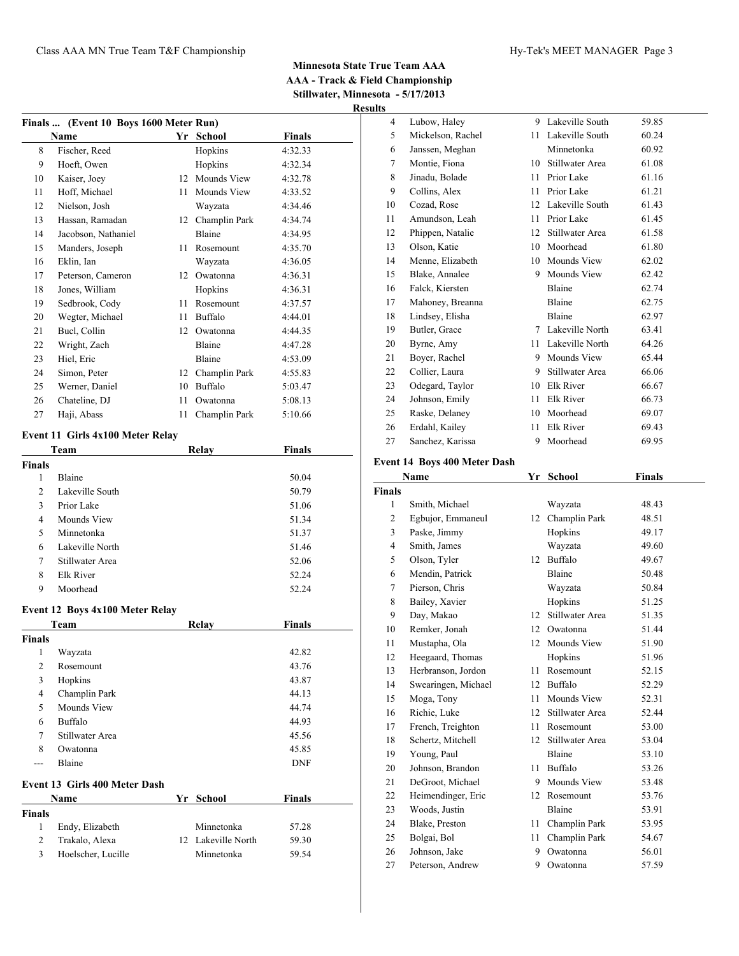| Finals  (Event 10 Boys 1600 Meter Run) |                                          |    |                    |               |  |
|----------------------------------------|------------------------------------------|----|--------------------|---------------|--|
|                                        | Name                                     |    | Yr School          | <b>Finals</b> |  |
| 8                                      | Fischer, Reed                            |    | Hopkins            | 4:32.33       |  |
| 9                                      | Hoeft, Owen                              |    | Hopkins            | 4:32.34       |  |
| 10                                     | Kaiser, Joey                             |    | 12 Mounds View     | 4:32.78       |  |
| 11                                     | Hoff, Michael                            |    | 11 Mounds View     | 4:33.52       |  |
| 12                                     | Nielson, Josh                            |    | Wayzata            | 4:34.46       |  |
| 13                                     | Hassan, Ramadan                          |    | 12 Champlin Park   | 4:34.74       |  |
| 14                                     | Jacobson, Nathaniel                      |    | Blaine             | 4:34.95       |  |
| 15                                     | Manders, Joseph                          |    | 11 Rosemount       | 4:35.70       |  |
| 16                                     | Eklin, Ian                               |    | Wayzata            | 4:36.05       |  |
| 17                                     | Peterson, Cameron                        |    | 12 Owatonna        | 4:36.31       |  |
| 18                                     | Jones, William                           |    | Hopkins            | 4:36.31       |  |
| 19                                     | Sedbrook, Cody                           |    | 11 Rosemount       | 4:37.57       |  |
| 20                                     | Wegter, Michael                          |    | 11 Buffalo         | 4:44.01       |  |
| 21                                     | Bucl, Collin                             |    | 12 Owatonna        | 4:44.35       |  |
| 22                                     | Wright, Zach                             |    | Blaine             | 4:47.28       |  |
| 23                                     | Hiel, Eric                               |    | Blaine             | 4:53.09       |  |
| 24                                     | Simon, Peter                             |    | 12 Champlin Park   | 4:55.83       |  |
| 25                                     | Werner, Daniel                           |    | 10 Buffalo         | 5:03.47       |  |
| 26                                     | Chateline, DJ                            |    | 11 Owatonna        | 5:08.13       |  |
| 27                                     | Haji, Abass                              | 11 | Champlin Park      | 5:10.66       |  |
|                                        |                                          |    |                    |               |  |
|                                        | Event 11 Girls 4x100 Meter Relay<br>Team |    | <b>Relay</b>       | <b>Finals</b> |  |
| <b>Finals</b>                          |                                          |    |                    |               |  |
| $\mathbf{1}$                           | Blaine                                   |    |                    | 50.04         |  |
| 2                                      | Lakeville South                          |    |                    | 50.79         |  |
| 3                                      | Prior Lake                               |    |                    | 51.06         |  |
| 4                                      | Mounds View                              |    |                    | 51.34         |  |
| 5                                      | Minnetonka                               |    |                    | 51.37         |  |
| 6                                      | Lakeville North                          |    |                    | 51.46         |  |
| 7                                      | Stillwater Area                          |    |                    | 52.06         |  |
| 8                                      | Elk River                                |    |                    | 52.24         |  |
| 9                                      | Moorhead                                 |    |                    | 52.24         |  |
|                                        |                                          |    |                    |               |  |
|                                        | Event 12 Boys 4x100 Meter Relay          |    |                    |               |  |
|                                        | Team                                     |    | Relay              | <b>Finals</b> |  |
| Finals                                 |                                          |    |                    |               |  |
| $\mathbf{1}$                           | Wayzata                                  |    |                    | 42.82         |  |
| 2                                      | Rosemount                                |    |                    | 43.76         |  |
| 3                                      | Hopkins                                  |    |                    | 43.87         |  |
| 4                                      | Champlin Park                            |    |                    | 44.13         |  |
| 5                                      | Mounds View                              |    |                    | 44.74         |  |
| 6                                      | Buffalo                                  |    |                    | 44.93         |  |
| 7                                      | Stillwater Area                          |    |                    | 45.56         |  |
| 8                                      | Owatonna                                 |    |                    | 45.85         |  |
| ---                                    | Blaine                                   |    |                    | <b>DNF</b>    |  |
|                                        | <b>Event 13 Girls 400 Meter Dash</b>     |    |                    |               |  |
|                                        | Name                                     | Yr | <b>School</b>      | <b>Finals</b> |  |
| Finals                                 |                                          |    |                    |               |  |
| 1                                      | Endy, Elizabeth                          |    | Minnetonka         | 57.28         |  |
| 2                                      | Trakalo, Alexa                           |    | 12 Lakeville North | 59.30         |  |
| 3                                      | Hoelscher, Lucille                       |    | Minnetonka         | 59.54         |  |
|                                        |                                          |    |                    |               |  |

| uns            |                                     |    |                    |               |  |
|----------------|-------------------------------------|----|--------------------|---------------|--|
| 4              | Lubow, Haley                        | 9  | Lakeville South    | 59.85         |  |
| 5              | Mickelson, Rachel                   | 11 | Lakeville South    | 60.24         |  |
| 6              | Janssen, Meghan                     |    | Minnetonka         | 60.92         |  |
| 7              | Montie, Fiona                       | 10 | Stillwater Area    | 61.08         |  |
| 8              | Jinadu, Bolade                      | 11 | Prior Lake         | 61.16         |  |
| 9              | Collins, Alex                       | 11 | Prior Lake         | 61.21         |  |
| 10             | Cozad, Rose                         | 12 | Lakeville South    | 61.43         |  |
| 11             | Amundson, Leah                      | 11 | Prior Lake         | 61.45         |  |
| 12             | Phippen, Natalie                    | 12 | Stillwater Area    | 61.58         |  |
| 13             | Olson, Katie                        | 10 | Moorhead           | 61.80         |  |
| 14             | Menne, Elizabeth                    | 10 | Mounds View        | 62.02         |  |
| 15             | Blake, Annalee                      | 9  | Mounds View        | 62.42         |  |
| 16             | Falck, Kiersten                     |    | Blaine             | 62.74         |  |
| 17             | Mahoney, Breanna                    |    | Blaine             | 62.75         |  |
| 18             | Lindsey, Elisha                     |    | Blaine             | 62.97         |  |
| 19             | Butler, Grace                       | 7  | Lakeville North    | 63.41         |  |
| 20             | Byrne, Amy                          | 11 | Lakeville North    | 64.26         |  |
| 21             | Boyer, Rachel                       | 9  | <b>Mounds View</b> | 65.44         |  |
| 22             | Collier, Laura                      | 9  | Stillwater Area    | 66.06         |  |
| 23             | Odegard, Taylor                     | 10 | Elk River          | 66.67         |  |
| 24             | Johnson, Emily                      | 11 | <b>Elk River</b>   | 66.73         |  |
| 25             | Raske, Delaney                      | 10 | Moorhead           | 69.07         |  |
| 26             | Erdahl, Kailey                      | 11 | Elk River          | 69.43         |  |
| 27             | Sanchez, Karissa                    | 9  | Moorhead           | 69.95         |  |
|                | <b>Event 14 Boys 400 Meter Dash</b> |    |                    |               |  |
|                | Name                                | Yr | <b>School</b>      | <b>Finals</b> |  |
| <b>Finals</b>  |                                     |    |                    |               |  |
| 1              | Smith, Michael                      |    | Wayzata            | 48.43         |  |
| $\overline{c}$ | Egbujor, Emmaneul                   | 12 | Champlin Park      | 48.51         |  |
| 3              | Paske, Jimmy                        |    | Hopkins            | 49.17         |  |

| 2  | Egbujor, Emmaneul   | 12 | Champlin Park   | 48.51 |  |
|----|---------------------|----|-----------------|-------|--|
| 3  | Paske, Jimmy        |    | Hopkins         | 49.17 |  |
| 4  | Smith, James        |    | Wayzata         | 49.60 |  |
| 5  | Olson, Tyler        | 12 | Buffalo         | 49.67 |  |
| 6  | Mendin, Patrick     |    | Blaine          | 50.48 |  |
| 7  | Pierson, Chris      |    | Wayzata         | 50.84 |  |
| 8  | Bailey, Xavier      |    | Hopkins         | 51.25 |  |
| 9  | Day, Makao          | 12 | Stillwater Area | 51.35 |  |
| 10 | Remker, Jonah       | 12 | Owatonna        | 51.44 |  |
| 11 | Mustapha, Ola       | 12 | Mounds View     | 51.90 |  |
| 12 | Heegaard, Thomas    |    | Hopkins         | 51.96 |  |
| 13 | Herbranson, Jordon  | 11 | Rosemount       | 52.15 |  |
| 14 | Swearingen, Michael | 12 | Buffalo         | 52.29 |  |
| 15 | Moga, Tony          | 11 | Mounds View     | 52.31 |  |
| 16 | Richie, Luke        | 12 | Stillwater Area | 52.44 |  |
| 17 | French, Treighton   | 11 | Rosemount       | 53.00 |  |
| 18 | Schertz, Mitchell   | 12 | Stillwater Area | 53.04 |  |
| 19 | Young, Paul         |    | Blaine          | 53.10 |  |
| 20 | Johnson, Brandon    | 11 | Buffalo         | 53.26 |  |
| 21 | DeGroot, Michael    | 9  | Mounds View     | 53.48 |  |
| 22 | Heimendinger, Eric  | 12 | Rosemount       | 53.76 |  |
| 23 | Woods, Justin       |    | Blaine          | 53.91 |  |
| 24 | Blake, Preston      | 11 | Champlin Park   | 53.95 |  |
| 25 | Bolgai, Bol         | 11 | Champlin Park   | 54.67 |  |
| 26 | Johnson, Jake       | 9  | Owatonna        | 56.01 |  |
| 27 | Peterson, Andrew    | 9  | Owatonna        | 57.59 |  |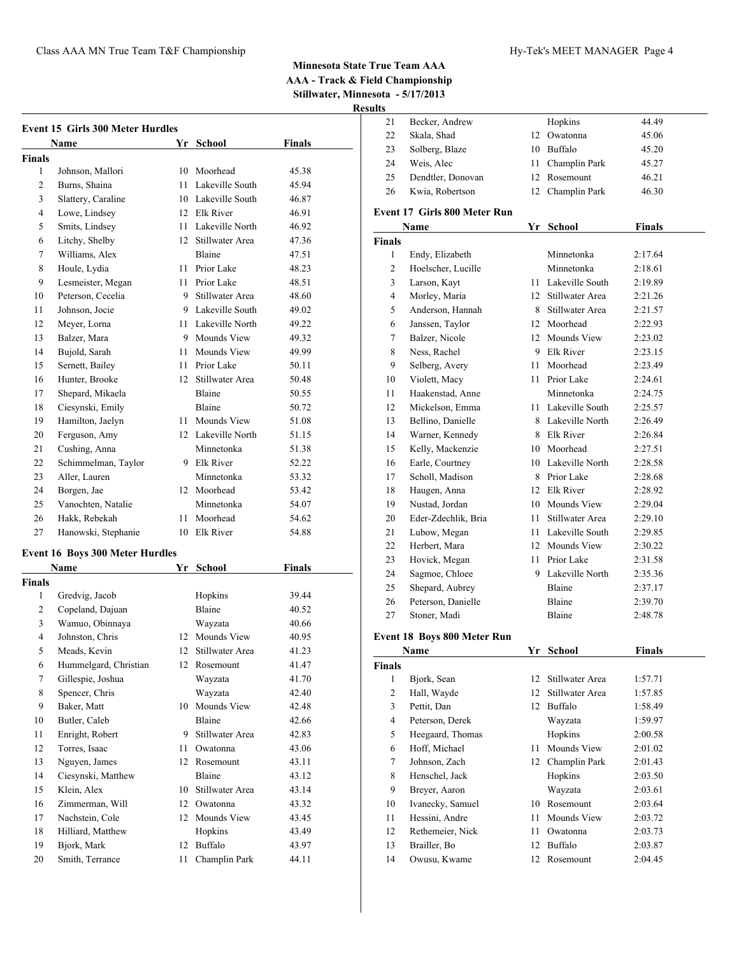|                | <b>Event 15 Girls 300 Meter Hurdles</b><br>Name | Yr  | <b>School</b>                     | <b>Finals</b> |
|----------------|-------------------------------------------------|-----|-----------------------------------|---------------|
| <b>Finals</b>  |                                                 |     |                                   |               |
| 1              | Johnson, Mallori                                |     | 10 Moorhead                       | 45.38         |
| 2              | Burns, Shaina                                   | 11  | Lakeville South                   | 45.94         |
| 3              | Slattery, Caraline                              |     | 10 Lakeville South                | 46.87         |
| 4              | Lowe, Lindsey                                   |     | 12 Elk River                      | 46.91         |
| 5              | Smits, Lindsey                                  |     | 11 Lakeville North                | 46.92         |
| 6              | Litchy, Shelby                                  |     | 12 Stillwater Area                | 47.36         |
| 7              | Williams, Alex                                  |     | Blaine                            | 47.51         |
| 8              | Houle, Lydia                                    |     | 11 Prior Lake                     | 48.23         |
| 9              | Lesmeister, Megan                               |     | 11 Prior Lake                     | 48.51         |
| 10             | Peterson, Cecelia                               |     | 9 Stillwater Area                 | 48.60         |
| 11             | Johnson, Jocie                                  |     | 9 Lakeville South                 | 49.02         |
| 12             | Meyer, Lorna                                    |     | 11 Lakeville North                | 49.22         |
| 13             | Balzer, Mara                                    | 9.  | Mounds View                       | 49.32         |
| 14             | Bujold, Sarah                                   | 11  | Mounds View                       | 49.99         |
| 15             | Sernett, Bailey                                 | 11  | Prior Lake                        | 50.11         |
| 16             | Hunter, Brooke                                  | 12  | Stillwater Area                   |               |
| 17             |                                                 |     | Blaine                            | 50.48         |
|                | Shepard, Mikaela<br>Ciesynski, Emily            |     | Blaine                            | 50.55         |
| 18             |                                                 |     |                                   | 50.72         |
| 19             | Hamilton, Jaelyn                                | 11  | Mounds View<br>12 Lakeville North | 51.08         |
| 20             | Ferguson, Amy                                   |     |                                   | 51.15         |
| 21             | Cushing, Anna                                   |     | Minnetonka                        | 51.38         |
| 22             | Schimmelman, Taylor                             |     | 9 Elk River                       | 52.22         |
| 23             | Aller, Lauren                                   |     | Minnetonka                        | 53.32         |
| 24             | Borgen, Jae                                     | 12  | Moorhead                          | 53.42         |
| 25             | Vanochten, Natalie                              |     | Minnetonka                        | 54.07         |
| 26             | Hakk, Rebekah                                   | 11. | Moorhead                          | 54.62         |
| 27             | Hanowski, Stephanie                             | 10  | Elk River                         | 54.88         |
|                | <b>Event 16 Boys 300 Meter Hurdles</b>          |     |                                   |               |
|                | Name                                            | Yr  | School                            | Finals        |
| <b>Finals</b>  |                                                 |     |                                   |               |
| 1              | Gredvig, Jacob                                  |     | Hopkins                           | 39.44         |
| 2              | Copeland, Dajuan                                |     | Blaine                            | 40.52         |
| 3              | Wamuo, Obinnaya                                 |     | Wayzata                           | 40.66         |
| 4              | Johnston, Chris                                 |     | 12 Mounds View                    | 40.95         |
| 5              | Meads, Kevin                                    |     | 12 Stillwater Area                | 41.23         |
| 6              | Hummelgard, Christian                           |     | 12 Rosemount                      | 41.47         |
| $\overline{7}$ | Gillespie, Joshua                               |     | Wayzata                           | 41.70         |
| 8              | Spencer, Chris                                  |     | Wayzata                           | 42.40         |
| 9              | Baker, Matt                                     | 10  | Mounds View                       | 42.48         |
| 10             | Butler, Caleb                                   |     | Blaine                            | 42.66         |
| 11             | Enright, Robert                                 | 9   | Stillwater Area                   | 42.83         |
| 12             | Torres, Isaac                                   | 11  | Owatonna                          | 43.06         |
| 13             | Nguyen, James                                   | 12  | Rosemount                         | 43.11         |
| 14             | Ciesynski, Matthew                              |     | Blaine                            | 43.12         |
| 15             | Klein, Alex                                     | 10  | Stillwater Area                   | 43.14         |
| 16             | Zimmerman, Will                                 | 12  | Owatonna                          | 43.32         |
| 17             | Nachstein, Cole                                 | 12  | Mounds View                       | 43.45         |
| 18             | Hilliard, Matthew                               |     | Hopkins                           | 43.49         |
| 19             | Bjork, Mark                                     | 12  | Buffalo                           | 43.97         |
| 20             | Smith, Terrance                                 | 11  | Champlin Park                     | 44.11         |

| LLS            |                                    |                           |                    |               |  |
|----------------|------------------------------------|---------------------------|--------------------|---------------|--|
| 21             | Becker, Andrew                     |                           | Hopkins            | 44.49         |  |
| 22             | Skala, Shad                        |                           | 12 Owatonna        | 45.06         |  |
| 23             | Solberg, Blaze                     |                           | 10 Buffalo         | 45.20         |  |
| 24             | Weis, Alec                         |                           | 11 Champlin Park   | 45.27         |  |
| 25             | Dendtler, Donovan                  |                           | 12 Rosemount       | 46.21         |  |
| 26             | Kwia, Robertson                    |                           | 12 Champlin Park   | 46.30         |  |
|                | Event 17 Girls 800 Meter Run       |                           |                    |               |  |
|                | Name                               | Yr                        | <b>School</b>      | <b>Finals</b> |  |
| Finals         |                                    |                           |                    |               |  |
| 1              | Endy, Elizabeth                    |                           | Minnetonka         | 2:17.64       |  |
| 2              | Hoelscher, Lucille                 |                           | Minnetonka         | 2:18.61       |  |
| 3              | Larson, Kayt                       |                           | 11 Lakeville South | 2:19.89       |  |
| $\overline{4}$ | Morley, Maria                      |                           | 12 Stillwater Area | 2:21.26       |  |
| 5              | Anderson, Hannah                   |                           | 8 Stillwater Area  | 2:21.57       |  |
| 6              | Janssen, Taylor                    |                           | 12 Moorhead        | 2:22.93       |  |
| 7              | Balzer, Nicole                     |                           | 12 Mounds View     | 2:23.02       |  |
| 8              | Ness, Rachel                       |                           | 9 Elk River        | 2:23.15       |  |
| 9              | Selberg, Avery                     |                           | 11 Moorhead        | 2:23.49       |  |
| 10             | Violett, Macy                      |                           | 11 Prior Lake      | 2:24.61       |  |
| 11             | Haakenstad, Anne                   |                           | Minnetonka         | 2:24.75       |  |
| 12             | Mickelson, Emma                    |                           | 11 Lakeville South | 2:25.57       |  |
| 13             | Bellino, Danielle                  |                           | 8 Lakeville North  | 2:26.49       |  |
| 14             | Warner, Kennedy                    |                           | 8 Elk River        | 2:26.84       |  |
| 15             | Kelly, Mackenzie                   |                           | 10 Moorhead        | 2:27.51       |  |
| 16             | Earle, Courtney                    |                           | 10 Lakeville North | 2:28.58       |  |
| 17             | Scholl, Madison                    |                           | 8 Prior Lake       | 2:28.68       |  |
| 18             | Haugen, Anna                       |                           | 12 Elk River       | 2:28.92       |  |
| 19             | Nustad, Jordan                     |                           | 10 Mounds View     | 2:29.04       |  |
| 20             | Eder-Zdechlik, Bria                |                           | 11 Stillwater Area | 2:29.10       |  |
| 21             | Lubow, Megan                       |                           | 11 Lakeville South | 2:29.85       |  |
| 22             | Herbert, Mara                      |                           | 12 Mounds View     | 2:30.22       |  |
| 23             | Hovick, Megan                      |                           | 11 Prior Lake      | 2:31.58       |  |
| 24             | Sagmoe, Chloee                     |                           | 9 Lakeville North  | 2:35.36       |  |
| 25             | Shepard, Aubrey                    |                           | Blaine             | 2:37.17       |  |
| 26             | Peterson, Danielle                 |                           | Blaine             | 2:39.70       |  |
| 27             | Stoner, Madi                       |                           | Blaine             | 2:48.78       |  |
|                | <b>Event 18 Boys 800 Meter Run</b> |                           |                    |               |  |
|                |                                    | $\underline{\mathbf{Yr}}$ | School             | <b>Finals</b> |  |
| <b>Finals</b>  | <b>Name</b>                        |                           |                    |               |  |
| $\mathbf{1}$   | Bjork, Sean                        | 12                        | Stillwater Area    | 1:57.71       |  |
| $\overline{c}$ | Hall, Wayde                        | 12                        | Stillwater Area    | 1:57.85       |  |
| 3              | Pettit, Dan                        |                           | 12 Buffalo         | 1:58.49       |  |
| $\overline{4}$ | Peterson, Derek                    |                           | Wayzata            | 1:59.97       |  |
| 5              | Heegaard, Thomas                   |                           | Hopkins            | 2:00.58       |  |
| 6              | Hoff, Michael                      | 11                        | Mounds View        | 2:01.02       |  |
| 7              | Johnson, Zach                      | 12                        | Champlin Park      | 2:01.43       |  |
| 8              | Henschel, Jack                     |                           | Hopkins            | 2:03.50       |  |
| 9              | Breyer, Aaron                      |                           | Wayzata            | 2:03.61       |  |
| 10             | Ivanecky, Samuel                   | 10                        | Rosemount          | 2:03.64       |  |
| 11             | Hessini, Andre                     | 11                        | Mounds View        | 2:03.72       |  |
|                |                                    |                           |                    |               |  |

 Rethemeier, Nick 11 Owatonna 2:03.73 Brailler, Bo 12 Buffalo 2:03.87 Owusu, Kwame 12 Rosemount 2:04.45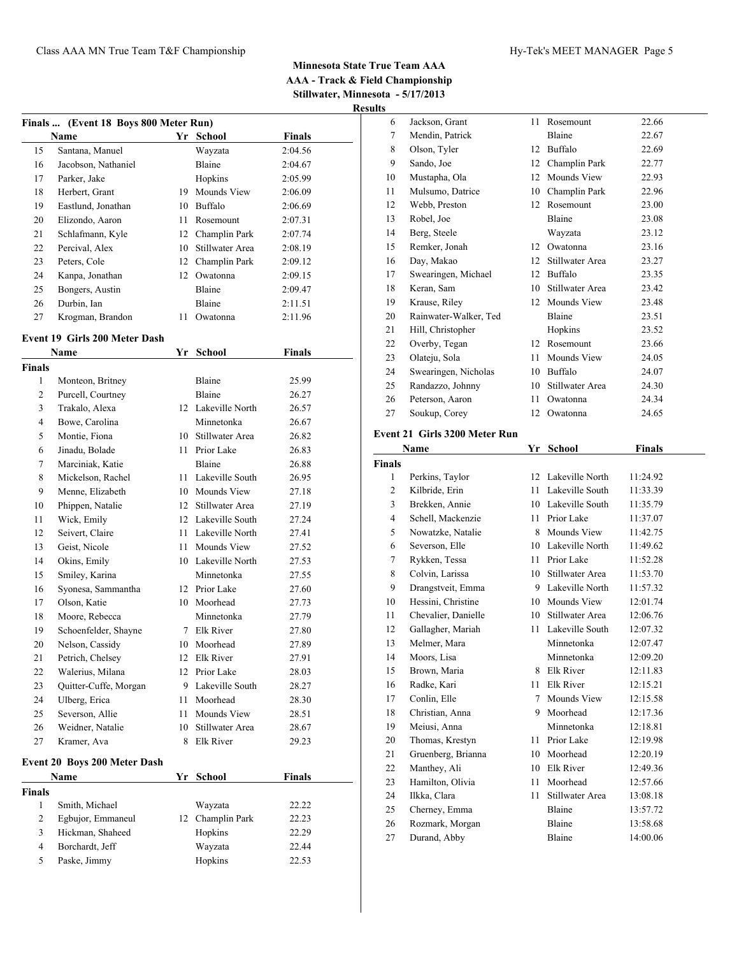| Finals  (Event 18 Boys 800 Meter Run) |    |                 |               |  |  |
|---------------------------------------|----|-----------------|---------------|--|--|
| Name                                  | Yr | School          | <b>Finals</b> |  |  |
| Santana, Manuel                       |    | Wayzata         | 2:04.56       |  |  |
| Jacobson, Nathaniel                   |    | Blaine          | 2:04.67       |  |  |
| Parker, Jake                          |    | Hopkins         | 2:05.99       |  |  |
| Herbert, Grant                        | 19 | Mounds View     | 2:06.09       |  |  |
| Eastlund, Jonathan                    | 10 | Buffalo         | 2:06.69       |  |  |
| Elizondo, Aaron                       | 11 | Rosemount       | 2:07.31       |  |  |
| Schlafmann, Kyle                      | 12 | Champlin Park   | 2:07.74       |  |  |
| Percival, Alex                        | 10 | Stillwater Area | 2:08.19       |  |  |
| Peters, Cole                          | 12 | Champlin Park   | 2:09.12       |  |  |
| Kanpa, Jonathan                       | 12 | Owatonna        | 2:09.15       |  |  |
| Bongers, Austin                       |    | Blaine          | 2:09.47       |  |  |
| Durbin, Ian                           |    | Blaine          | 2:11.51       |  |  |
| Krogman, Brandon                      | 11 | Owatonna        | 2:11.96       |  |  |
|                                       |    |                 |               |  |  |

### **Event 19 Girls 200 Meter Dash**

|                | Name                         | Yr     | School             | <b>Finals</b> |  |
|----------------|------------------------------|--------|--------------------|---------------|--|
| Finals         |                              |        |                    |               |  |
| 1              | Monteon, Britney             |        | Blaine             | 25.99         |  |
| $\mathfrak{2}$ | Purcell, Courtney            |        | Blaine             | 26.27         |  |
| 3              | Trakalo, Alexa               |        | 12 Lakeville North | 26.57         |  |
| 4              | Bowe, Carolina               |        | Minnetonka         | 26.67         |  |
| 5              | Montie, Fiona                |        | 10 Stillwater Area | 26.82         |  |
| 6              | Jinadu, Bolade               |        | 11 Prior Lake      | 26.83         |  |
| 7              | Marciniak, Katie             |        | Blaine             | 26.88         |  |
| 8              | Mickelson, Rachel            |        | 11 Lakeville South | 26.95         |  |
| 9              | Menne, Elizabeth             |        | 10 Mounds View     | 27.18         |  |
| 10             | Phippen, Natalie             |        | 12 Stillwater Area | 27.19         |  |
| 11             | Wick, Emily                  |        | 12 Lakeville South | 27.24         |  |
| 12             | Seivert, Claire              |        | 11 Lakeville North | 27.41         |  |
| 13             | Geist, Nicole                | $11 -$ | Mounds View        | 27.52         |  |
| 14             | Okins, Emily                 |        | 10 Lakeville North | 27.53         |  |
| 15             | Smiley, Karina               |        | Minnetonka         | 27.55         |  |
| 16             | Syonesa, Sammantha           |        | 12 Prior Lake      | 27.60         |  |
| 17             | Olson, Katie                 |        | 10 Moorhead        | 27.73         |  |
| 18             | Moore, Rebecca               |        | Minnetonka         | 27.79         |  |
| 19             | Schoenfelder, Shayne         |        | 7 Elk River        | 27.80         |  |
| 20             | Nelson, Cassidy              |        | 10 Moorhead        | 27.89         |  |
| 21             | Petrich, Chelsey             |        | 12 Elk River       | 27.91         |  |
| 22             | Walerius, Milana             |        | 12 Prior Lake      | 28.03         |  |
| 23             | Quitter-Cuffe, Morgan        |        | 9 Lakeville South  | 28.27         |  |
| 24             | Ulberg, Erica                |        | 11 Moorhead        | 28.30         |  |
| 25             | Severson, Allie              |        | 11 Mounds View     | 28.51         |  |
| 26             | Weidner, Natalie             |        | 10 Stillwater Area | 28.67         |  |
| 27             | Kramer, Ava                  |        | 8 Elk River        | 29.23         |  |
|                | Event 20 Boys 200 Meter Dash |        |                    |               |  |
|                | Name                         | Yr     | <b>School</b>      | <b>Finals</b> |  |
| <b>Finals</b>  |                              |        |                    |               |  |
| 1              | Smith, Michael               |        | Wayzata            | 22.22         |  |
| $\mathfrak{2}$ | Egbujor, Emmaneul            |        | 12 Champlin Park   | 22.23         |  |
| 3              | Hickman, Shaheed             |        | Hopkins            | 22.29         |  |
| $\overline{4}$ | Borchardt, Jeff              |        | Wayzata            | 22.44         |  |
| 5              | Paske, Jimmy                 |        | Hopkins            | 22.53         |  |
|                |                              |        |                    |               |  |

| 6  | Jackson, Grant        | 11 | Rosemount       | 22.66 |
|----|-----------------------|----|-----------------|-------|
| 7  | Mendin, Patrick       |    | Blaine          | 22.67 |
| 8  | Olson, Tyler          | 12 | Buffalo         | 22.69 |
| 9  | Sando, Joe            | 12 | Champlin Park   | 22.77 |
| 10 | Mustapha, Ola         | 12 | Mounds View     | 22.93 |
| 11 | Mulsumo, Datrice      | 10 | Champlin Park   | 22.96 |
| 12 | Webb, Preston         | 12 | Rosemount       | 23.00 |
| 13 | Robel, Joe            |    | Blaine          | 23.08 |
| 14 | Berg, Steele          |    | Wayzata         | 23.12 |
| 15 | Remker, Jonah         | 12 | Owatonna        | 23.16 |
| 16 | Day, Makao            | 12 | Stillwater Area | 23.27 |
| 17 | Swearingen, Michael   | 12 | Buffalo         | 23.35 |
| 18 | Keran, Sam            | 10 | Stillwater Area | 23.42 |
| 19 | Krause, Riley         | 12 | Mounds View     | 23.48 |
| 20 | Rainwater-Walker, Ted |    | Blaine          | 23.51 |
| 21 | Hill, Christopher     |    | Hopkins         | 23.52 |
| 22 | Overby, Tegan         | 12 | Rosemount       | 23.66 |
| 23 | Olateju, Sola         | 11 | Mounds View     | 24.05 |
| 24 | Swearingen, Nicholas  | 10 | Buffalo         | 24.07 |
| 25 | Randazzo, Johnny      | 10 | Stillwater Area | 24.30 |
| 26 | Peterson, Aaron       | 11 | Owatonna        | 24.34 |
| 27 | Soukup, Corey         | 12 | Owatonna        | 24.65 |
|    | (2.4.71.330035)<br>Ð  |    |                 |       |

## **Event 21 Girls 3200 Meter Run**

|                | Name                | Yr | <b>School</b>      | <b>Finals</b> |  |
|----------------|---------------------|----|--------------------|---------------|--|
| <b>Finals</b>  |                     |    |                    |               |  |
| 1              | Perkins, Taylor     |    | 12 Lakeville North | 11:24.92      |  |
| $\overline{c}$ | Kilbride, Erin      | 11 | Lakeville South    | 11:33.39      |  |
| 3              | Brekken, Annie      |    | 10 Lakeville South | 11:35.79      |  |
| $\overline{4}$ | Schell, Mackenzie   | 11 | Prior Lake         | 11:37.07      |  |
| 5              | Nowatzke, Natalie   | 8  | Mounds View        | 11:42.75      |  |
| 6              | Severson, Elle      | 10 | Lakeville North    | 11:49.62      |  |
| 7              | Rykken, Tessa       | 11 | Prior Lake         | 11:52.28      |  |
| 8              | Colvin, Larissa     | 10 | Stillwater Area    | 11:53.70      |  |
| 9              | Drangstveit, Emma   |    | 9 Lakeville North  | 11:57.32      |  |
| 10             | Hessini, Christine  |    | 10 Mounds View     | 12:01.74      |  |
| 11             | Chevalier, Danielle | 10 | Stillwater Area    | 12:06.76      |  |
| 12             | Gallagher, Mariah   |    | 11 Lakeville South | 12:07.32      |  |
| 13             | Melmer, Mara        |    | Minnetonka         | 12:07.47      |  |
| 14             | Moors, Lisa         |    | Minnetonka         | 12:09.20      |  |
| 15             | Brown, Maria        |    | 8 Elk River        | 12:11.83      |  |
| 16             | Radke, Kari         | 11 | Elk River          | 12:15.21      |  |
| 17             | Conlin, Elle        | 7  | Mounds View        | 12:15.58      |  |
| 18             | Christian, Anna     | 9  | Moorhead           | 12:17.36      |  |
| 19             | Meiusi, Anna        |    | Minnetonka         | 12:18.81      |  |
| 20             | Thomas, Krestyn     | 11 | Prior Lake         | 12:19.98      |  |
| 21             | Gruenberg, Brianna  | 10 | Moorhead           | 12:20.19      |  |
| 22             | Manthey, Ali        |    | 10 Elk River       | 12:49.36      |  |
| 23             | Hamilton, Olivia    | 11 | Moorhead           | 12:57.66      |  |
| 24             | Ilkka, Clara        | 11 | Stillwater Area    | 13:08.18      |  |
| 25             | Cherney, Emma       |    | Blaine             | 13:57.72      |  |
| 26             | Rozmark, Morgan     |    | Blaine             | 13:58.68      |  |
| 27             | Durand, Abby        |    | Blaine             | 14:00.06      |  |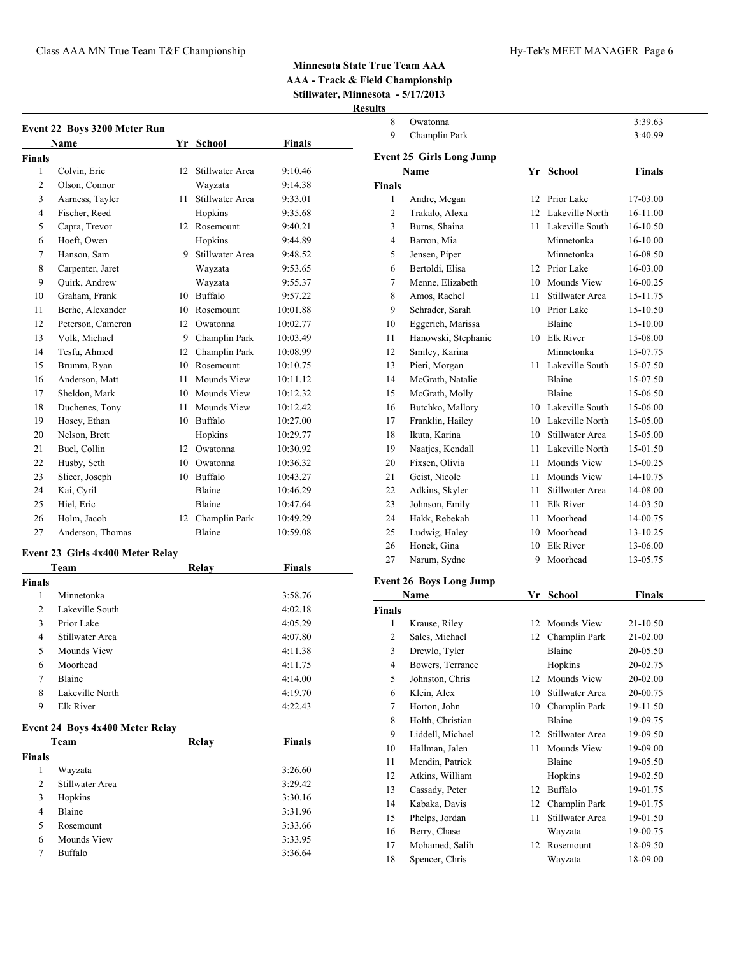**Result** 

|                | <b>Event 22 Boys 3200 Meter Run</b><br>Name |    | Yr School        | <b>Finals</b> |
|----------------|---------------------------------------------|----|------------------|---------------|
| Finals         |                                             |    |                  |               |
| 1              | Colvin, Eric                                | 12 | Stillwater Area  | 9:10.46       |
| 2              | Olson, Connor                               |    | Wayzata          | 9:14.38       |
| 3              | Aarness, Tayler                             | 11 | Stillwater Area  | 9:33.01       |
| 4              | Fischer, Reed                               |    | Hopkins          | 9:35.68       |
| 5              | Capra, Trevor                               | 12 | Rosemount        | 9:40.21       |
| 6              | Hoeft, Owen                                 |    | Hopkins          | 9:44.89       |
| 7              | Hanson, Sam                                 | 9  | Stillwater Area  | 9:48.52       |
| 8              | Carpenter, Jaret                            |    | Wayzata          | 9:53.65       |
| 9              | Quirk, Andrew                               |    | Wayzata          | 9:55.37       |
| 10             | Graham, Frank                               | 10 | <b>Buffalo</b>   | 9:57.22       |
| 11             | Berhe, Alexander                            | 10 | Rosemount        | 10:01.88      |
| 12             | Peterson, Cameron                           | 12 | Owatonna         | 10:02.77      |
| 13             | Volk. Michael                               |    | 9 Champlin Park  | 10:03.49      |
| 14             | Tesfu, Ahmed                                | 12 | Champlin Park    | 10:08.99      |
| 15             | Brumm, Ryan                                 | 10 | Rosemount        | 10:10.75      |
| 16             | Anderson, Matt                              | 11 | Mounds View      | 10:11.12      |
| 17             | Sheldon, Mark                               | 10 | Mounds View      | 10:12.32      |
| 18             | Duchenes, Tony                              | 11 | Mounds View      | 10:12.42      |
| 19             | Hosey, Ethan                                | 10 | <b>Buffalo</b>   | 10:27.00      |
| 20             | Nelson, Brett                               |    | Hopkins          | 10:29.77      |
| 21             | Bucl, Collin                                | 12 | Owatonna         | 10:30.92      |
| 22             | Husby, Seth                                 |    | 10 Owatonna      | 10:36.32      |
| 23             | Slicer, Joseph                              | 10 | Buffalo          | 10:43.27      |
| 24             | Kai, Cyril                                  |    | Blaine           | 10:46.29      |
| 25             | Hiel, Eric                                  |    | Blaine           | 10:47.64      |
| 26             | Holm, Jacob                                 |    | 12 Champlin Park | 10:49.29      |
| 27             | Anderson, Thomas                            |    | <b>Blaine</b>    | 10:59.08      |
|                | Event 23 Girls 4x400 Meter Relay            |    |                  |               |
|                | Team                                        |    | Relay            | <b>Finals</b> |
| Finals         |                                             |    |                  |               |
| 1              | Minnetonka                                  |    |                  | 3:58.76       |
| $\overline{c}$ | Lakeville South                             |    |                  | 4:02.18       |

|               |                                         |       | <i></i>       |
|---------------|-----------------------------------------|-------|---------------|
| 2             | Lakeville South                         |       | 4:02.18       |
| 3             | Prior Lake                              |       | 4:05.29       |
| 4             | Stillwater Area                         |       | 4:07.80       |
| 5             | Mounds View                             |       | 4:11.38       |
| 6             | Moorhead                                |       | 4:11.75       |
| 7             | Blaine                                  |       | 4:14.00       |
| 8             | Lakeville North                         |       | 4:19.70       |
| 9             | Elk River                               |       | 4:22.43       |
|               | Event 24 Boys 4x400 Meter Relay<br>Team | Relav | <b>Finals</b> |
| <b>Finals</b> |                                         |       |               |
| 1             | Wayzata                                 |       | 3:26.60       |
| 2             | Stillwater Area                         |       | 3:29.42       |
| 3             | Hopkins                                 |       | 3:30.16       |
| 4             | Blaine                                  |       | 3:31.96       |
| 5             | Rosemount                               |       | 3:33.66       |
| 6             |                                         |       |               |
|               | Mounds View                             |       | 3:33.95       |

| ults           |                                 |      |                    |                      |  |
|----------------|---------------------------------|------|--------------------|----------------------|--|
| 8              | Owatonna                        |      |                    | 3:39.63              |  |
| 9              | Champlin Park                   |      |                    | 3:40.99              |  |
|                | <b>Event 25 Girls Long Jump</b> |      |                    |                      |  |
|                | Name                            |      | Yr School          | Finals               |  |
| <b>Finals</b>  |                                 |      |                    |                      |  |
| 1              | Andre, Megan                    | 12   | Prior Lake         | 17-03.00             |  |
| 2              | Trakalo, Alexa                  |      | 12 Lakeville North | 16-11.00             |  |
| 3              | Burns, Shaina                   |      | 11 Lakeville South | 16-10.50             |  |
| 4              | Barron, Mia                     |      | Minnetonka         | 16-10.00             |  |
| 5              | Jensen, Piper                   |      | Minnetonka         | 16-08.50             |  |
| 6              | Bertoldi, Elisa                 |      | 12 Prior Lake      | 16-03.00             |  |
| 7              | Menne, Elizabeth                |      | 10 Mounds View     | 16-00.25             |  |
| 8              | Amos, Rachel                    | 11.  | Stillwater Area    | 15-11.75             |  |
| 9              | Schrader, Sarah                 |      | 10 Prior Lake      | 15-10.50             |  |
| 10             | Eggerich, Marissa               |      | Blaine             | 15-10.00             |  |
| 11             | Hanowski, Stephanie             |      | 10 Elk River       | 15-08.00             |  |
| 12             | Smiley, Karina                  |      | Minnetonka         | 15-07.75             |  |
| 13             | Pieri, Morgan                   |      | 11 Lakeville South | 15-07.50             |  |
| 14             | McGrath, Natalie                |      | Blaine             | 15-07.50             |  |
| 15             | McGrath, Molly                  |      | Blaine             | 15-06.50             |  |
| 16             | Butchko, Mallory                |      | 10 Lakeville South | 15-06.00             |  |
| 17             | Franklin, Hailey                |      | 10 Lakeville North | 15-05.00             |  |
| 18             | Ikuta, Karina                   |      | 10 Stillwater Area | 15-05.00             |  |
| 19             | Naatjes, Kendall                |      | 11 Lakeville North | 15-01.50             |  |
| 20             | Fixsen, Olivia                  | 11   | Mounds View        | 15-00.25             |  |
| 21             | Geist, Nicole                   | 11   | Mounds View        | 14-10.75             |  |
| 22             | Adkins, Skyler                  | 11 - | Stillwater Area    | 14-08.00             |  |
| 23             | Johnson, Emily                  | 11 - | Elk River          | 14-03.50             |  |
| 24             | Hakk, Rebekah                   | 11 - | Moorhead           | 14-00.75             |  |
| 25             |                                 |      | 10 Moorhead        |                      |  |
| 26             | Ludwig, Haley<br>Honek, Gina    |      | 10 Elk River       | 13-10.25             |  |
| 27             | Narum, Sydne                    |      | 9 Moorhead         | 13-06.00<br>13-05.75 |  |
|                |                                 |      |                    |                      |  |
|                | <b>Event 26 Boys Long Jump</b>  |      |                    |                      |  |
|                | Name                            |      | Yr School          | <b>Finals</b>        |  |
| <b>Finals</b>  |                                 |      |                    |                      |  |
| 1              | Krause, Riley                   |      | 12 Mounds View     | 21-10.50             |  |
| $\overline{c}$ | Sales, Michael                  | 12   | Champlin Park      | 21-02.00             |  |
| 3              | Drewlo, Tyler                   |      | Blaine             | 20-05.50             |  |
| 4              | Bowers, Terrance                |      | Hopkins            | 20-02.75             |  |
| 5              | Johnston, Chris                 | 12   | Mounds View        | 20-02.00             |  |
| 6              | Klein, Alex                     | 10   | Stillwater Area    | 20-00.75             |  |
| 7              | Horton, John                    | 10   | Champlin Park      | 19-11.50             |  |
| 8              | Holth, Christian                |      | Blaine             | 19-09.75             |  |
| 9              | Liddell, Michael                | 12   | Stillwater Area    | 19-09.50             |  |
| 10             | Hallman, Jalen                  | 11   | Mounds View        | 19-09.00             |  |
| 11             | Mendin, Patrick                 |      | Blaine             | 19-05.50             |  |
| 12             | Atkins, William                 |      | Hopkins            | 19-02.50             |  |
| 13             | Cassady, Peter                  |      | 12 Buffalo         | 19-01.75             |  |
| 14             | Kabaka, Davis                   | 12   | Champlin Park      | 19-01.75             |  |
| 15             | Phelps, Jordan                  | 11   | Stillwater Area    | 19-01.50             |  |

 Berry, Chase Wayzata 19-00.75 Mohamed, Salih 12 Rosemount 18-09.50 Spencer, Chris Wayzata 18-09.00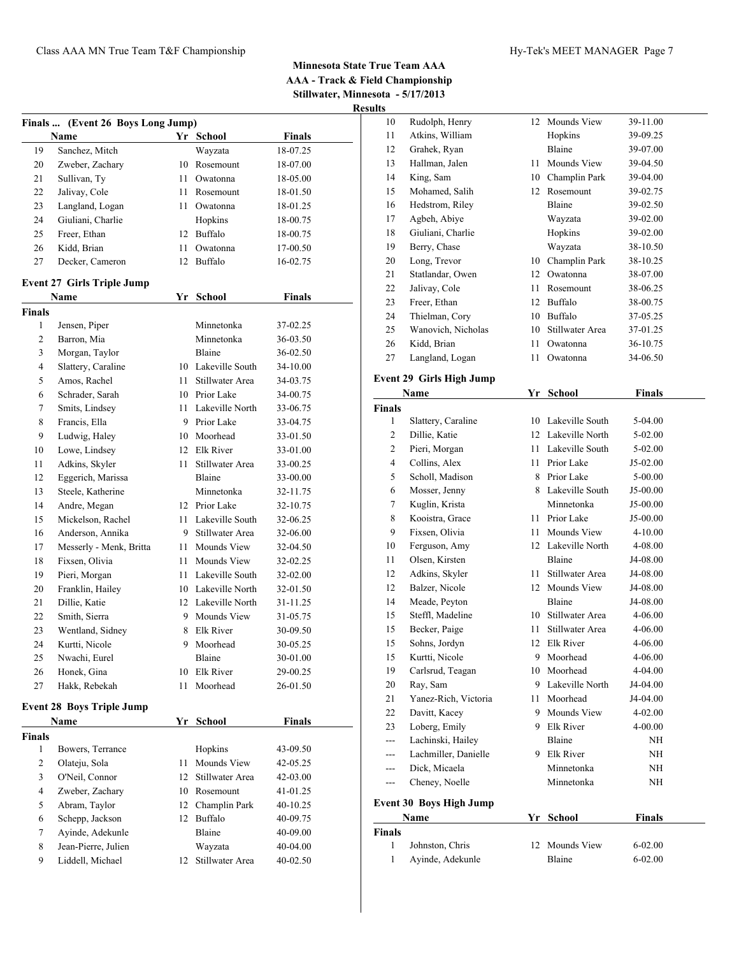| Finals        | (Event 26 Boys Long Jump)<br>Name |          | Yr School                | <b>Finals</b>        |  |
|---------------|-----------------------------------|----------|--------------------------|----------------------|--|
| 19            | Sanchez, Mitch                    |          | Wayzata                  | 18-07.25             |  |
| 20            | Zweber, Zachary                   |          | 10 Rosemount             | 18-07.00             |  |
| 21            | Sullivan, Ty                      | 11 -     | Owatonna                 | 18-05.00             |  |
| 22            | Jalivay, Cole                     |          | 11 Rosemount             | 18-01.50             |  |
| 23            | Langland, Logan                   |          | 11 Owatonna              | 18-01.25             |  |
| 24            | Giuliani, Charlie                 |          | Hopkins                  | 18-00.75             |  |
| 25            | Freer, Ethan                      | 12       | Buffalo                  | 18-00.75             |  |
| 26            | Kidd, Brian                       | 11 -     | Owatonna                 | 17-00.50             |  |
| 27            | Decker, Cameron                   |          | 12 Buffalo               | 16-02.75             |  |
|               | <b>Event 27 Girls Triple Jump</b> |          |                          |                      |  |
|               | Name                              | Yr       | School                   | Finals               |  |
| <b>Finals</b> |                                   |          |                          |                      |  |
| 1             | Jensen, Piper                     |          | Minnetonka               | 37-02.25             |  |
| 2             | Barron, Mia                       |          | Minnetonka               | 36-03.50             |  |
| 3             | Morgan, Taylor                    |          | Blaine                   | 36-02.50             |  |
| 4             | Slattery, Caraline                |          | 10 Lakeville South       | 34-10.00             |  |
| 5             | Amos, Rachel                      |          | 11 Stillwater Area       | 34-03.75             |  |
| 6             | Schrader, Sarah                   |          | 10 Prior Lake            | 34-00.75             |  |
| 7             | Smits, Lindsey                    |          | 11 Lakeville North       | 33-06.75             |  |
| 8             | Francis, Ella                     |          | 9 Prior Lake             | 33-04.75             |  |
| 9             | Ludwig, Haley                     |          | 10 Moorhead              | 33-01.50             |  |
| 10            | Lowe, Lindsey                     |          | 12 Elk River             | 33-01.00             |  |
| 11            | Adkins, Skyler                    | 11.      | Stillwater Area          | 33-00.25             |  |
| 12            | Eggerich, Marissa                 |          | Blaine                   | 33-00.00             |  |
| 13            | Steele, Katherine                 |          | Minnetonka               | 32-11.75             |  |
| 14            | Andre, Megan                      |          | 12 Prior Lake            | 32-10.75             |  |
| 15            | Mickelson, Rachel                 | 11.      | Lakeville South          | 32-06.25             |  |
| 16            | Anderson, Annika                  |          | 9 Stillwater Area        | 32-06.00             |  |
| 17            | Messerly - Menk, Britta           |          | 11 Mounds View           | 32-04.50             |  |
| 18            | Fixsen, Olivia                    | 11       | Mounds View              | 32-02.25             |  |
| 19            | Pieri, Morgan                     | 11 -     | Lakeville South          | 32-02.00             |  |
| 20            | Franklin, Hailey                  |          | 10 Lakeville North       | 32-01.50             |  |
| 21            | Dillie, Katie                     |          | 12 Lakeville North       | 31-11.25             |  |
| 22            | Smith, Sierra                     | 9        | Mounds View<br>Elk River | 31-05.75             |  |
| 23            | Wentland, Sidney                  | 8        |                          | 30-09.50             |  |
| 24            | Kurtti, Nicole                    | 9        | Moorhead                 | 30-05.25             |  |
| 25            | Nwachi, Eurel                     |          | Blaine                   | 30-01.00             |  |
| 26<br>27      | Honek, Gina<br>Hakk, Rebekah      | 10<br>11 | Elk River<br>Moorhead    | 29-00.25<br>26-01.50 |  |
|               | <b>Event 28 Boys Triple Jump</b>  |          |                          |                      |  |
|               | Name                              | Yr       | <b>School</b>            | <b>Finals</b>        |  |
| Finals        |                                   |          |                          |                      |  |
| 1             | Bowers, Terrance                  |          | Hopkins                  | 43-09.50             |  |
| $\mathbf{2}$  | Olateju, Sola                     | 11       | Mounds View              | 42-05.25             |  |
| 3             | O'Neil, Connor                    | 12       | Stillwater Area          | 42-03.00             |  |
| 4             | Zweber, Zachary                   | 10       | Rosemount                | 41-01.25             |  |
| 5             | Abram, Taylor                     | 12       | Champlin Park            | 40-10.25             |  |
| 6             | Schepp, Jackson                   | 12       | Buffalo                  | 40-09.75             |  |
| $\tau$        | Ayinde, Adekunle                  |          | Blaine                   | 40-09.00             |  |

 Jean-Pierre, Julien Wayzata 40-04.00 Liddell, Michael 12 Stillwater Area 40-02.50

| นแร            |                                 |      |                    |               |  |
|----------------|---------------------------------|------|--------------------|---------------|--|
| 10             | Rudolph, Henry                  | 12   | Mounds View        | 39-11.00      |  |
| 11             | Atkins, William                 |      | Hopkins            | 39-09.25      |  |
| 12             | Grahek, Ryan                    |      | Blaine             | 39-07.00      |  |
| 13             | Hallman, Jalen                  | 11 - | Mounds View        | 39-04.50      |  |
| 14             | King, Sam                       |      | 10 Champlin Park   | 39-04.00      |  |
| 15             | Mohamed, Salih                  |      | 12 Rosemount       | 39-02.75      |  |
| 16             | Hedstrom, Riley                 |      | Blaine             | 39-02.50      |  |
| 17             | Agbeh, Abiye                    |      | Wayzata            | 39-02.00      |  |
| 18             | Giuliani, Charlie               |      | Hopkins            | 39-02.00      |  |
| 19             | Berry, Chase                    |      | Wayzata            | 38-10.50      |  |
| 20             | Long, Trevor                    |      | 10 Champlin Park   | 38-10.25      |  |
| 21             | Statlandar, Owen                |      | 12 Owatonna        | 38-07.00      |  |
| 22             | Jalivay, Cole                   |      | 11 Rosemount       | 38-06.25      |  |
| 23             | Freer, Ethan                    |      | 12 Buffalo         | 38-00.75      |  |
| 24             | Thielman, Cory                  |      | 10 Buffalo         | 37-05.25      |  |
| 25             | Wanovich, Nicholas              |      | 10 Stillwater Area | 37-01.25      |  |
| 26             | Kidd, Brian                     | 11   | Owatonna           | 36-10.75      |  |
| 27             | Langland, Logan                 | 11   | Owatonna           | 34-06.50      |  |
|                | <b>Event 29 Girls High Jump</b> |      |                    |               |  |
|                | Name                            |      | Yr School          | <b>Finals</b> |  |
| <b>Finals</b>  |                                 |      |                    |               |  |
| 1              | Slattery, Caraline              |      | 10 Lakeville South | 5-04.00       |  |
| 2              | Dillie, Katie                   |      | 12 Lakeville North | $5-02.00$     |  |
| 2              | Pieri, Morgan                   |      | 11 Lakeville South | 5-02.00       |  |
| $\overline{4}$ | Collins, Alex                   |      | 11 Prior Lake      | J5-02.00      |  |
| 5              | Scholl, Madison                 |      | 8 Prior Lake       | 5-00.00       |  |
| 6              | Mosser, Jenny                   |      | 8 Lakeville South  | J5-00.00      |  |
| 7              | Kuglin, Krista                  |      | Minnetonka         | J5-00.00      |  |
| 8              | Kooistra, Grace                 |      | 11 Prior Lake      | J5-00.00      |  |
| 9              | Fixsen, Olivia                  |      | 11 Mounds View     | 4-10.00       |  |
| 10             | Ferguson, Amy                   |      | 12 Lakeville North | 4-08.00       |  |
| 11             | Olsen, Kirsten                  |      | Blaine             | J4-08.00      |  |
| 12             | Adkins, Skyler                  | 11 - | Stillwater Area    | J4-08.00      |  |
| 12             | Balzer, Nicole                  |      | 12 Mounds View     | J4-08.00      |  |
| 14             | Meade, Peyton                   |      | <b>Blaine</b>      | J4-08.00      |  |
| 15             | Steffl, Madeline                |      | 10 Stillwater Area | 4-06.00       |  |
| 15             | Becker, Paige                   | 11   | Stillwater Area    | 4-06.00       |  |
| 15             | Sohns, Jordyn                   |      | 12 Elk River       | 4-06.00       |  |
| 15             | Kurtti, Nicole                  | 9    | Moorhead           | 4-06.00       |  |
| 19             | Carlsrud, Teagan                |      | 10 Moorhead        | 4-04.00       |  |
| 20             | Ray, Sam                        |      | 9 Lakeville North  | J4-04.00      |  |
| 21             | Yanez-Rich, Victoria            | 11   | Moorhead           | J4-04.00      |  |
| 22             | Davitt, Kacey                   | 9    | Mounds View        | 4-02.00       |  |
| 23             | Loberg, Emily                   |      | 9 Elk River        | 4-00.00       |  |
| ---            | Lachinski, Hailey               |      | Blaine             | NH            |  |
| ---            | Lachmiller, Danielle            |      | 9 Elk River        | NH            |  |
| ---            | Dick, Micaela                   |      | Minnetonka         | NH            |  |
| ---            | Cheney, Noelle                  |      | Minnetonka         | NH            |  |
|                | <b>Event 30 Boys High Jump</b>  |      |                    |               |  |
|                | Name                            | Yr   | <b>School</b>      | Finals        |  |

|               | Name             | Yr School      | Finals    |
|---------------|------------------|----------------|-----------|
| <b>Finals</b> |                  |                |           |
|               | Johnston, Chris  | 12 Mounds View | $6-02.00$ |
|               | Ayinde, Adekunle | Blaine         | $6-02.00$ |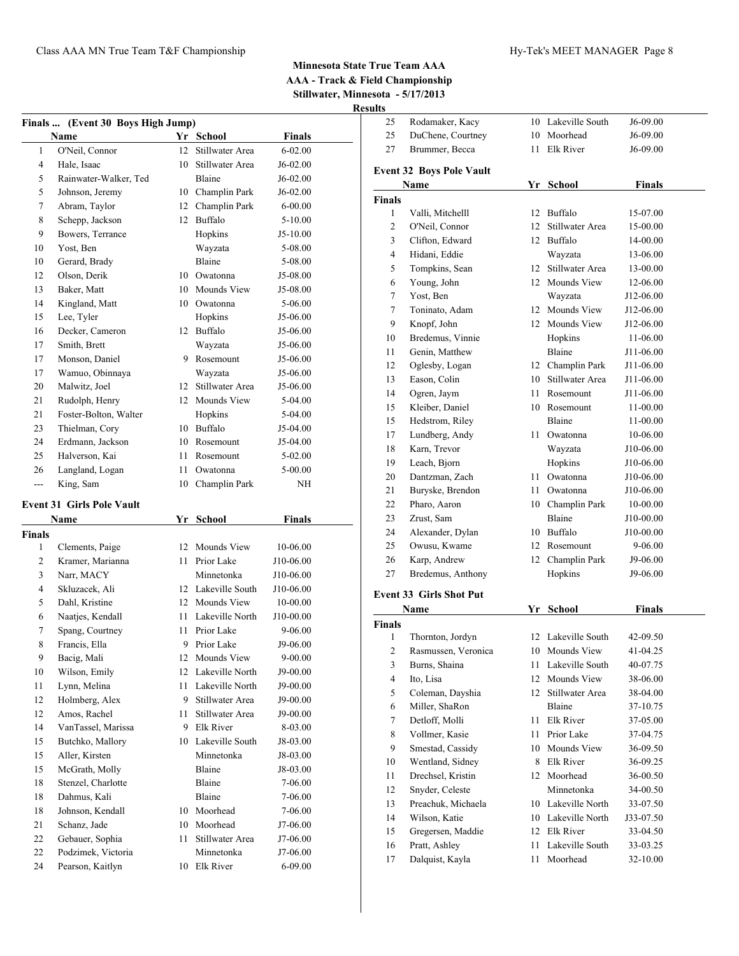| Finals  (Event 30 Boys High Jump) |                       |    |                 |               |  |
|-----------------------------------|-----------------------|----|-----------------|---------------|--|
|                                   | Name                  |    | Yr School       | <b>Finals</b> |  |
| 1                                 | O'Neil, Connor        | 12 | Stillwater Area | $6 - 02.00$   |  |
| $\overline{4}$                    | Hale, Isaac           | 10 | Stillwater Area | $J6-02.00$    |  |
| 5                                 | Rainwater-Walker, Ted |    | Blaine          | $J6-02.00$    |  |
| 5                                 | Johnson, Jeremy       | 10 | Champlin Park   | $J6-02.00$    |  |
| 7                                 | Abram, Taylor         | 12 | Champlin Park   | $6 - 00.00$   |  |
| 8                                 | Schepp, Jackson       | 12 | Buffalo         | $5 - 10.00$   |  |
| 9                                 | Bowers, Terrance      |    | Hopkins         | $J5-10.00$    |  |
| 10                                | Yost, Ben             |    | Wayzata         | 5-08.00       |  |
| 10                                | Gerard, Brady         |    | Blaine          | 5-08.00       |  |
| 12                                | Olson, Derik          | 10 | Owatonna        | $J5-08.00$    |  |
| 13                                | Baker, Matt           | 10 | Mounds View     | $J5-08.00$    |  |
| 14                                | Kingland, Matt        | 10 | Owatonna        | 5-06.00       |  |
| 15                                | Lee, Tyler            |    | Hopkins         | J5-06.00      |  |
| 16                                | Decker, Cameron       | 12 | Buffalo         | $J5-06.00$    |  |
| 17                                | Smith, Brett          |    | Wayzata         | J5-06.00      |  |
| 17                                | Monson, Daniel        | 9  | Rosemount       | J5-06.00      |  |
| 17                                | Wamuo, Obinnaya       |    | Wayzata         | $J5-06.00$    |  |
| 20                                | Malwitz, Joel         | 12 | Stillwater Area | $J5-06.00$    |  |
| 21                                | Rudolph, Henry        | 12 | Mounds View     | 5-04.00       |  |
| 21                                | Foster-Bolton, Walter |    | Hopkins         | 5-04.00       |  |
| 23                                | Thielman, Cory        | 10 | Buffalo         | J5-04.00      |  |
| 24                                | Erdmann, Jackson      | 10 | Rosemount       | $J5-04.00$    |  |
| 25                                | Halverson, Kai        | 11 | Rosemount       | 5-02.00       |  |
| 26                                | Langland, Logan       | 11 | Owatonna        | 5-00.00       |  |
| $---$                             | King, Sam             | 10 | Champlin Park   | NH            |  |

# **Event 31 Girls Pole Vault**

| Name<br>Yr<br><b>School</b> |                    | <b>Finals</b> |                  |             |  |
|-----------------------------|--------------------|---------------|------------------|-------------|--|
| <b>Finals</b>               |                    |               |                  |             |  |
| 1                           | Clements, Paige    | 12            | Mounds View      | 10-06.00    |  |
| $\overline{2}$              | Kramer, Marianna   | 11            | Prior Lake       | J10-06.00   |  |
| 3                           | Narr, MACY         |               | Minnetonka       | J10-06.00   |  |
| 4                           | Skluzacek, Ali     | 12            | Lakeville South  | J10-06.00   |  |
| 5                           | Dahl, Kristine     | 12            | Mounds View      | 10-00.00    |  |
| 6                           | Naatjes, Kendall   | 11            | Lakeville North  | J10-00.00   |  |
| 7                           | Spang, Courtney    | 11            | Prior Lake       | 9-06.00     |  |
| 8                           | Francis, Ella      | 9             | Prior Lake       | J9-06.00    |  |
| 9                           | Bacig, Mali        | 12            | Mounds View      | $9 - 00.00$ |  |
| 10                          | Wilson, Emily      | 12            | Lakeville North  | J9-00.00    |  |
| 11                          | Lynn, Melina       | 11            | Lakeville North  | J9-00.00    |  |
| 12                          | Holmberg, Alex     | 9             | Stillwater Area  | J9-00.00    |  |
| 12                          | Amos, Rachel       | 11            | Stillwater Area  | J9-00.00    |  |
| 14                          | VanTassel, Marissa | 9             | <b>Elk River</b> | 8-03.00     |  |
| 15                          | Butchko, Mallory   | 10            | Lakeville South  | J8-03.00    |  |
| 15                          | Aller, Kirsten     |               | Minnetonka       | J8-03.00    |  |
| 15                          | McGrath, Molly     |               | Blaine           | J8-03.00    |  |
| 18                          | Stenzel, Charlotte |               | Blaine           | 7-06.00     |  |
| 18                          | Dahmus, Kali       |               | Blaine           | 7-06.00     |  |
| 18                          | Johnson, Kendall   | 10            | Moorhead         | 7-06.00     |  |
| 21                          | Schanz, Jade       | 10            | Moorhead         | J7-06.00    |  |
| 22                          | Gebauer, Sophia    | 11            | Stillwater Area  | $J7-06.00$  |  |
| 22                          | Podzimek, Victoria |               | Minnetonka       | J7-06.00    |  |
| 24                          | Pearson, Kaitlyn   | 10            | <b>Elk River</b> | $6 - 09.00$ |  |

| lts                     |                                 |         |                    |               |  |
|-------------------------|---------------------------------|---------|--------------------|---------------|--|
| 25                      | Rodamaker, Kacy                 |         | 10 Lakeville South | J6-09.00      |  |
| 25                      | DuChene, Courtney               |         | 10 Moorhead        | J6-09.00      |  |
| 27                      | Brummer, Becca                  | 11.     | Elk River          | J6-09.00      |  |
|                         | <b>Event 32 Boys Pole Vault</b> |         |                    |               |  |
|                         | Name                            |         | Yr School          | <b>Finals</b> |  |
| Finals                  |                                 |         |                    |               |  |
| 1                       | Valli, Mitchelll                | 12      | Buffalo            | 15-07.00      |  |
| $\mathfrak{2}$          | O'Neil, Connor                  | 12      | Stillwater Area    | 15-00.00      |  |
| 3                       | Clifton, Edward                 | $12-12$ | <b>Buffalo</b>     | 14-00.00      |  |
| $\overline{4}$          | Hidani, Eddie                   |         | Wayzata            | 13-06.00      |  |
| 5                       | Tompkins, Sean                  |         | 12 Stillwater Area | 13-00.00      |  |
| 6                       | Young, John                     |         | 12 Mounds View     | 12-06.00      |  |
| 7                       | Yost, Ben                       |         | Wayzata            | J12-06.00     |  |
| $\tau$                  | Toninato, Adam                  |         | 12 Mounds View     | J12-06.00     |  |
| 9                       | Knopf, John                     |         | 12 Mounds View     | J12-06.00     |  |
| 10                      | Bredemus, Vinnie                |         | Hopkins            | 11-06.00      |  |
| 11                      | Genin, Matthew                  |         | Blaine             | J11-06.00     |  |
| 12                      | Oglesby, Logan                  |         | 12 Champlin Park   | J11-06.00     |  |
| 13                      | Eason, Colin                    |         | 10 Stillwater Area | J11-06.00     |  |
| 14                      | Ogren, Jaym                     | 11      | Rosemount          | J11-06.00     |  |
| 15                      | Kleiber, Daniel                 |         | 10 Rosemount       | 11-00.00      |  |
| 15                      | Hedstrom, Riley                 |         | Blaine             | 11-00.00      |  |
| 17                      | Lundberg, Andy                  |         | 11 Owatonna        | 10-06.00      |  |
| 18                      | Karn, Trevor                    |         | Wayzata            | J10-06.00     |  |
| 19                      | Leach, Bjorn                    |         | Hopkins            | J10-06.00     |  |
| 20                      | Dantzman, Zach                  |         | 11 Owatonna        | J10-06.00     |  |
| 21                      | Buryske, Brendon                | 11      | Owatonna           | J10-06.00     |  |
| 22                      | Pharo, Aaron                    | 10      | Champlin Park      | 10-00.00      |  |
| 23                      | Zrust, Sam                      |         | Blaine             | J10-00.00     |  |
| 24                      | Alexander, Dylan                |         | 10 Buffalo         | J10-00.00     |  |
| 25                      | Owusu, Kwame                    | $12-12$ | Rosemount          | 9-06.00       |  |
| 26                      | Karp, Andrew                    | 12      | Champlin Park      | J9-06.00      |  |
| 27                      | Bredemus, Anthony               |         | Hopkins            | J9-06.00      |  |
|                         |                                 |         |                    |               |  |
|                         | <b>Event 33 Girls Shot Put</b>  |         |                    |               |  |
|                         | Name                            |         | Yr School          | <b>Finals</b> |  |
| Finals                  |                                 |         |                    |               |  |
| 1                       | Thornton, Jordyn                | 12      | Lakeville South    | 42-09.50      |  |
| $\overline{\mathbf{c}}$ | Rasmussen, Veronica             | 10      | Mounds View        | 41-04.25      |  |
| 3                       | Burns, Shaina                   | 11      | Lakeville South    | 40-07.75      |  |
| $\overline{\mathbf{4}}$ | Ito, Lisa                       | 12      | Mounds View        | 38-06.00      |  |
| 5                       | Coleman, Dayshia                | 12      | Stillwater Area    | 38-04.00      |  |
| 6                       | Miller, ShaRon                  |         | Blaine             | 37-10.75      |  |
| 7                       | Detloff, Molli                  | 11      | Elk River          | 37-05.00      |  |
| 8                       | Vollmer, Kasie                  | 11      | Prior Lake         | 37-04.75      |  |
| 9                       | Smestad, Cassidy                | 10      | Mounds View        | 36-09.50      |  |
| 10                      | Wentland, Sidney                | 8       | Elk River          | 36-09.25      |  |
| 11                      | Drechsel, Kristin               | 12      | Moorhead           | 36-00.50      |  |
| 12                      | Snyder, Celeste                 |         | Minnetonka         | 34-00.50      |  |
| 13                      | Preachuk, Michaela              |         | 10 Lakeville North | 33-07.50      |  |
| 14                      | Wilson, Katie                   |         | 10 Lakeville North | J33-07.50     |  |
| 15                      | Gregersen, Maddie               |         | 12 Elk River       | 33-04.50      |  |
| 16                      | Pratt, Ashley                   | 11      | Lakeville South    | 33-03.25      |  |
| 17                      | Dalquist, Kayla                 | 11      | Moorhead           | 32-10.00      |  |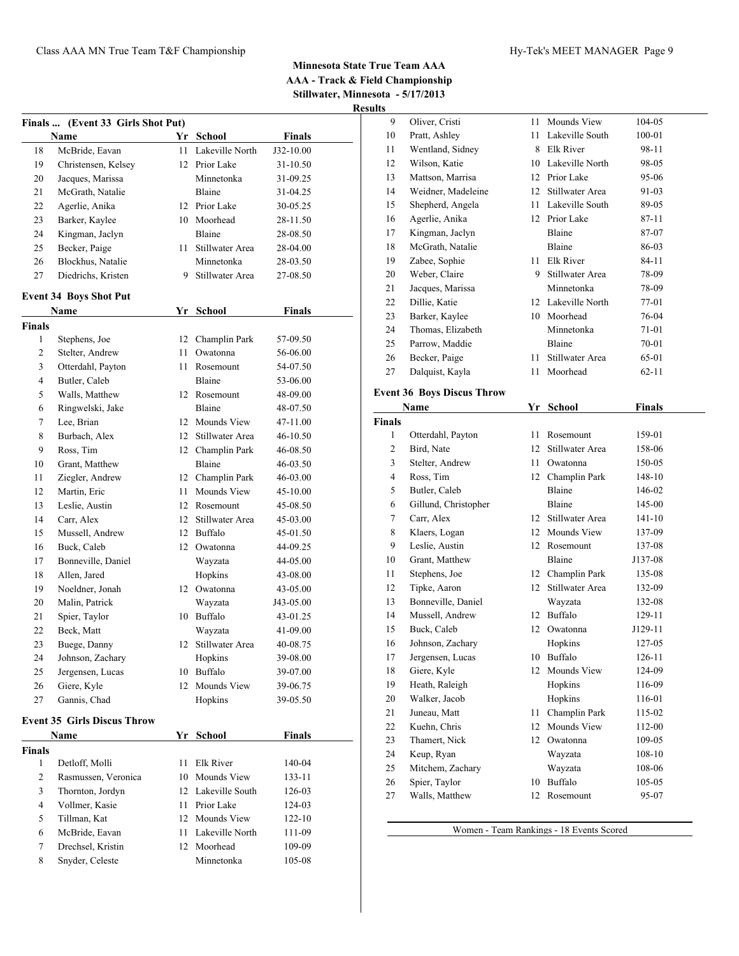**Results**

|               | Finals  (Event 33 Girls Shot Put)<br>Name | Yr | <b>School</b>      | <b>Finals</b> |  |
|---------------|-------------------------------------------|----|--------------------|---------------|--|
| 18            | McBride, Eavan                            | 11 | Lakeville North    | J32-10.00     |  |
| 19            | Christensen, Kelsey                       |    | 12 Prior Lake      | 31-10.50      |  |
| 20            | Jacques, Marissa                          |    | Minnetonka         | 31-09.25      |  |
| 21            | McGrath, Natalie                          |    | Blaine             | 31-04.25      |  |
| 22            | Agerlie, Anika                            |    | 12 Prior Lake      | 30-05.25      |  |
| 23            | Barker, Kaylee                            | 10 | Moorhead           | 28-11.50      |  |
| 24            | Kingman, Jaclyn                           |    | Blaine             | 28-08.50      |  |
| 25            | Becker, Paige                             | 11 | Stillwater Area    | 28-04.00      |  |
| 26            | Blockhus, Natalie                         |    | Minnetonka         | 28-03.50      |  |
| 27            | Diedrichs, Kristen                        | 9  | Stillwater Area    | 27-08.50      |  |
|               |                                           |    |                    |               |  |
|               | <b>Event 34 Boys Shot Put</b><br>Name     | Yr | School             | <b>Finals</b> |  |
| <b>Finals</b> |                                           |    |                    |               |  |
| 1             | Stephens, Joe                             |    | 12 Champlin Park   | 57-09.50      |  |
| 2             | Stelter, Andrew                           | 11 | Owatonna           | 56-06.00      |  |
| 3             | Otterdahl, Payton                         | 11 | Rosemount          | 54-07.50      |  |
| 4             | Butler, Caleb                             |    | Blaine             | 53-06.00      |  |
| 5             | Walls, Matthew                            | 12 | Rosemount          | 48-09.00      |  |
| 6             | Ringwelski, Jake                          |    | Blaine             | 48-07.50      |  |
| 7             | Lee, Brian                                |    | 12 Mounds View     | 47-11.00      |  |
| 8             | Burbach, Alex                             | 12 | Stillwater Area    | 46-10.50      |  |
| 9             | Ross, Tim                                 | 12 | Champlin Park      | 46-08.50      |  |
| 10            | Grant, Matthew                            |    | Blaine             | 46-03.50      |  |
| 11            | Ziegler, Andrew                           |    | 12 Champlin Park   | 46-03.00      |  |
| 12            | Martin, Eric                              | 11 | Mounds View        | 45-10.00      |  |
| 13            | Leslie, Austin                            |    | 12 Rosemount       | 45-08.50      |  |
| 14            | Carr, Alex                                |    | 12 Stillwater Area | 45-03.00      |  |
| 15            | Mussell, Andrew                           | 12 | Buffalo            | 45-01.50      |  |
| 16            | Buck, Caleb                               | 12 | Owatonna           | 44-09.25      |  |
| 17            | Bonneville, Daniel                        |    | Wayzata            | 44-05.00      |  |
| 18            | Allen, Jared                              |    | Hopkins            | 43-08.00      |  |
| 19            | Noeldner, Jonah                           | 12 | Owatonna           | 43-05.00      |  |
| 20            | Malin, Patrick                            |    | Wayzata            | J43-05.00     |  |
| 21            | Spier, Taylor                             | 10 | Buffalo            | 43-01.25      |  |
| 22            | Beck, Matt                                |    | Wayzata            | 41-09.00      |  |
| 23            | Buege, Danny                              |    | 12 Stillwater Area | 40-08.75      |  |
| 24            | Johnson, Zachary                          |    | Hopkins            | 39-08.00      |  |
| 25            | Jergensen, Lucas                          | 10 | Buffalo            | 39-07.00      |  |
| 26            | Giere, Kyle                               |    | 12 Mounds View     | 39-06.75      |  |
| 27            | Gannis, Chad                              |    | Hopkins            | 39-05.50      |  |
|               | <b>Event 35 Girls Discus Throw</b>        |    |                    |               |  |
|               | Name                                      | Yr | School             | <b>Finals</b> |  |
| <b>Finals</b> |                                           |    |                    |               |  |
| 1             | Detloff, Molli                            | 11 | Elk River          | 140-04        |  |
| 2             | Rasmussen, Veronica                       | 10 | Mounds View        | 133-11        |  |
| 3             | Thornton, Jordyn                          | 12 | Lakeville South    | 126-03        |  |
| 4             | Vollmer, Kasie                            | 11 | Prior Lake         | 124-03        |  |
| 5             | Tillman, Kat                              | 12 | Mounds View        | $122 - 10$    |  |
| 6             | McBride, Eavan                            | 11 | Lakeville North    | 111-09        |  |
|               | Drechsel, Kristin                         |    | 12 Moorhead        | 109-09        |  |
| 7             |                                           |    |                    |               |  |

| սութ           |                                   |    |                  |           |  |
|----------------|-----------------------------------|----|------------------|-----------|--|
| 9              | Oliver, Cristi                    | 11 | Mounds View      | 104-05    |  |
| 10             | Pratt, Ashley                     | 11 | Lakeville South  | 100-01    |  |
| 11             | Wentland, Sidney                  | 8  | <b>Elk River</b> | 98-11     |  |
| 12             | Wilson, Katie                     | 10 | Lakeville North  | 98-05     |  |
| 13             | Mattson, Marrisa                  | 12 | Prior Lake       | 95-06     |  |
| 14             | Weidner, Madeleine                | 12 | Stillwater Area  | 91-03     |  |
| 15             | Shepherd, Angela                  | 11 | Lakeville South  | 89-05     |  |
| 16             | Agerlie, Anika                    | 12 | Prior Lake       | $87 - 11$ |  |
| 17             | Kingman, Jaclyn                   |    | Blaine           | 87-07     |  |
| 18             | McGrath, Natalie                  |    | Blaine           | 86-03     |  |
| 19             | Zabee, Sophie                     | 11 | Elk River        | $84 - 11$ |  |
| 20             | Weber, Claire                     | 9  | Stillwater Area  | 78-09     |  |
| 21             | Jacques, Marissa                  |    | Minnetonka       | 78-09     |  |
| 22             | Dillie, Katie                     | 12 | Lakeville North  | 77-01     |  |
| 23             | Barker, Kaylee                    | 10 | Moorhead         | 76-04     |  |
| 24             | Thomas, Elizabeth                 |    | Minnetonka       | 71-01     |  |
| 25             | Parrow, Maddie                    |    | Blaine           | $70 - 01$ |  |
| 26             | Becker, Paige                     | 11 | Stillwater Area  | 65-01     |  |
| 27             | Dalquist, Kayla                   | 11 | Moorhead         | $62 - 11$ |  |
|                | <b>Event 36 Boys Discus Throw</b> |    |                  |           |  |
|                | Name                              | Yr | School           | Finals    |  |
| <b>Finals</b>  |                                   |    |                  |           |  |
| 1              | Otterdahl, Payton                 | 11 | Rosemount        | 159-01    |  |
| $\overline{c}$ | Bird, Nate                        | 12 | Stillwater Area  | 158-06    |  |

| 1              | Otterdahl, Payton    | 11               | Rosemount       | 159-01  |
|----------------|----------------------|------------------|-----------------|---------|
| 2              | Bird, Nate           | 12               | Stillwater Area | 158-06  |
| 3              | Stelter, Andrew      | 11               | Owatonna        | 150-05  |
| $\overline{4}$ | Ross, Tim            | 12               | Champlin Park   | 148-10  |
| 5              | Butler, Caleb        |                  | <b>Blaine</b>   | 146-02  |
| 6              | Gillund, Christopher |                  | Blaine          | 145-00  |
| $\tau$         | Carr, Alex           | 12               | Stillwater Area | 141-10  |
| 8              | Klaers, Logan        | 12               | Mounds View     | 137-09  |
| 9              | Leslie, Austin       | 12               | Rosemount       | 137-08  |
| 10             | Grant, Matthew       |                  | Blaine          | J137-08 |
| 11             | Stephens, Joe        | 12               | Champlin Park   | 135-08  |
| 12             | Tipke, Aaron         | 12 <sup>12</sup> | Stillwater Area | 132-09  |
| 13             | Bonneville, Daniel   |                  | Wayzata         | 132-08  |
| 14             | Mussell, Andrew      | 12               | Buffalo         | 129-11  |
| 15             | Buck, Caleb          | 12               | Owatonna        | J129-11 |
| 16             | Johnson, Zachary     |                  | Hopkins         | 127-05  |
| 17             | Jergensen, Lucas     | 10               | Buffalo         | 126-11  |
| 18             | Giere, Kyle          | 12               | Mounds View     | 124-09  |
| 19             | Heath, Raleigh       |                  | Hopkins         | 116-09  |
| 20             | Walker, Jacob        |                  | Hopkins         | 116-01  |
| 21             | Juneau, Matt         | 11               | Champlin Park   | 115-02  |
| 22             | Kuehn, Chris         | 12               | Mounds View     | 112-00  |
| 23             | Thamert, Nick        | 12               | Owatonna        | 109-05  |
| 24             | Keup, Ryan           |                  | Wayzata         | 108-10  |
| 25             | Mitchem, Zachary     |                  | Wayzata         | 108-06  |
| 26             | Spier, Taylor        | 10               | <b>Buffalo</b>  | 105-05  |
| 27             | Walls, Matthew       | 12               | Rosemount       | 95-07   |

Women - Team Rankings - 18 Events Scored